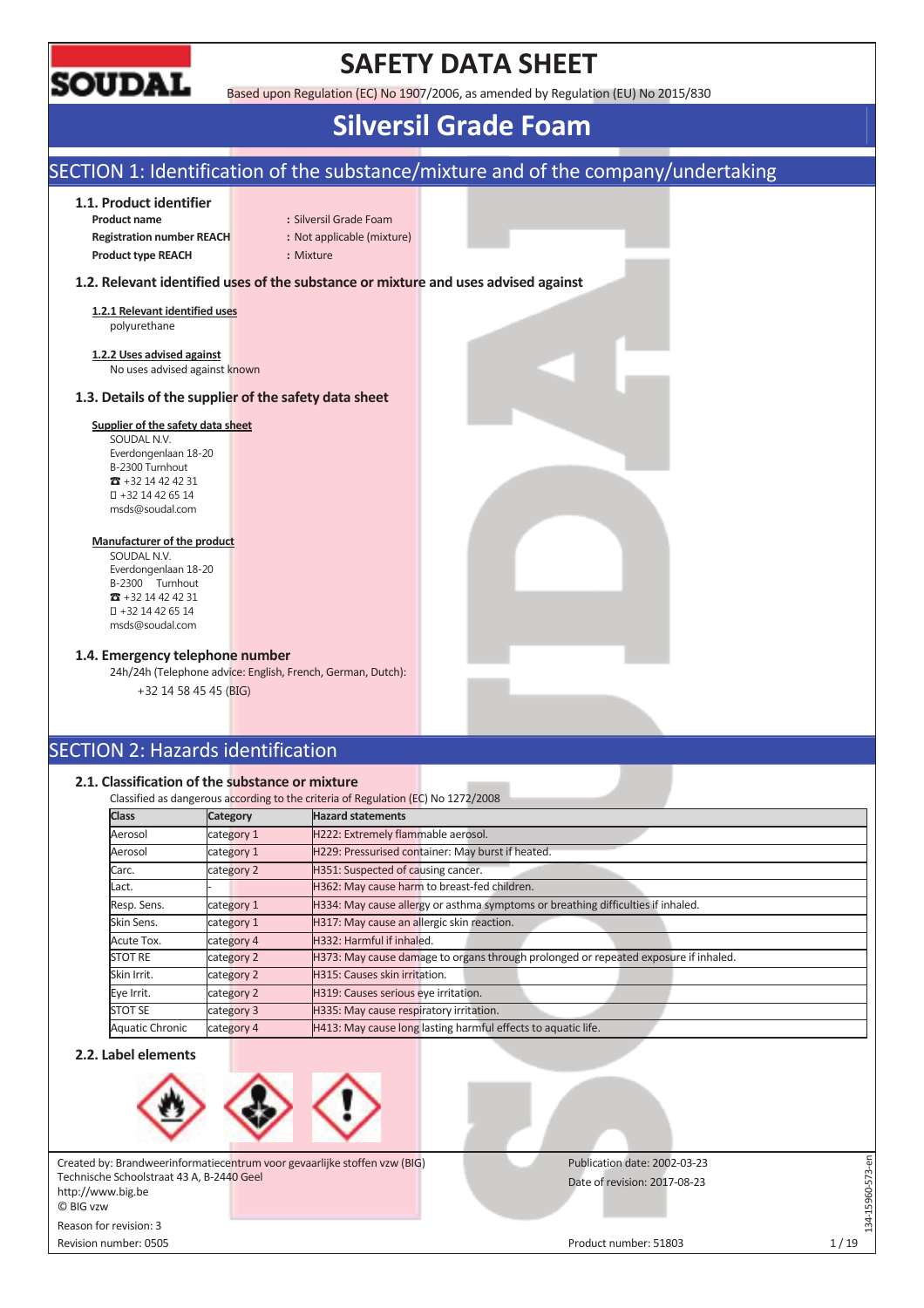

## **SAFETY DATA SHEET**

Based upon Regulation (EC) No 1907/2006, as amended by Regulation (EU) No 2015/830

## **Silversil Grade Foam**

## SECTION 1: Identification of the substance/mixture and of the company/undertaking

## **1.1. Product identifier**

**Product name** : Silversil Grade Foam **Registration number REACH :** Not applicable (mixture) **Product type REACH :** Mixture

## **1.2. Relevant identified uses of the substance or mixture and uses advised against**

**1.2.1 Relevant identified uses**  polyurethane

**1.2.2 Uses advised against**  No uses advised against known

## **1.3. Details of the supplier of the safety data sheet**

#### **Supplier of the safety data sheet**

SOUDAL N.V. Everdongenlaan 18-20 B-2300 Turnhout  $\overline{3}$  +32 14 42 42 31 +32 14 42 65 14 msds@soudal.com

## **Manufacturer of the product**

SOUDAL N.V. Everdongenlaan 18-20 B-2300 Turnhout  $\overline{3}$  +32 14 42 42 31 +32 14 42 65 14 msds@soudal.com

## **1.4. Emergency telephone number**

24h/24h (Telephone advice: English, French, German, Dutch): +32 14 58 45 45 (BIG)

## SECTION 2: Hazards identification

## **2.1. Classification of the substance or mixture**

|                        | Classification of the substance or mixture |                                                                                     |
|------------------------|--------------------------------------------|-------------------------------------------------------------------------------------|
|                        |                                            | Classified as dangerous according to the criteria of Regulation (EC) No 1272/2008   |
| <b>Class</b>           | Category                                   | <b>Hazard statements</b>                                                            |
| Aerosol                | category 1                                 | H222: Extremely flammable aerosol.                                                  |
| Aerosol                | category 1                                 | H229: Pressurised container: May burst if heated.                                   |
| Carc.                  | category 2                                 | H351: Suspected of causing cancer.                                                  |
| Lact.                  |                                            | H362: May cause harm to breast-fed children.                                        |
| Resp. Sens.            | category 1                                 | H334: May cause allergy or asthma symptoms or breathing difficulties if inhaled.    |
| Skin Sens.             | category 1                                 | H317: May cause an allergic skin reaction.                                          |
| Acute Tox.             | category 4                                 | H332: Harmful if inhaled.                                                           |
| <b>STOT RE</b>         | category 2                                 | H373: May cause damage to organs through prolonged or repeated exposure if inhaled. |
| Skin Irrit.            | category 2                                 | H315: Causes skin irritation.                                                       |
| Eve Irrit.             | category 2                                 | H319: Causes serious eye irritation.                                                |
| <b>STOT SE</b>         | category 3                                 | H335: May cause respiratory irritation.                                             |
| <b>Aquatic Chronic</b> | category 4                                 | H413: May cause long lasting harmful effects to aquatic life.                       |

### **2.2. Label elements**



Created by: Brandweerinformatiecentrum voor gevaarlijke stoffen vzw (BIG) Technische Schoolstraat 43 A, B-2440 Geel http://www.big.be © BIG vzw Reason for revision: 3

Revision number: 0505 Product number: 51803 1 / 19

Publication date: 2002-03-23

Date of revision: 2017-08-23

L34-15960-573-en

134-15960-573-en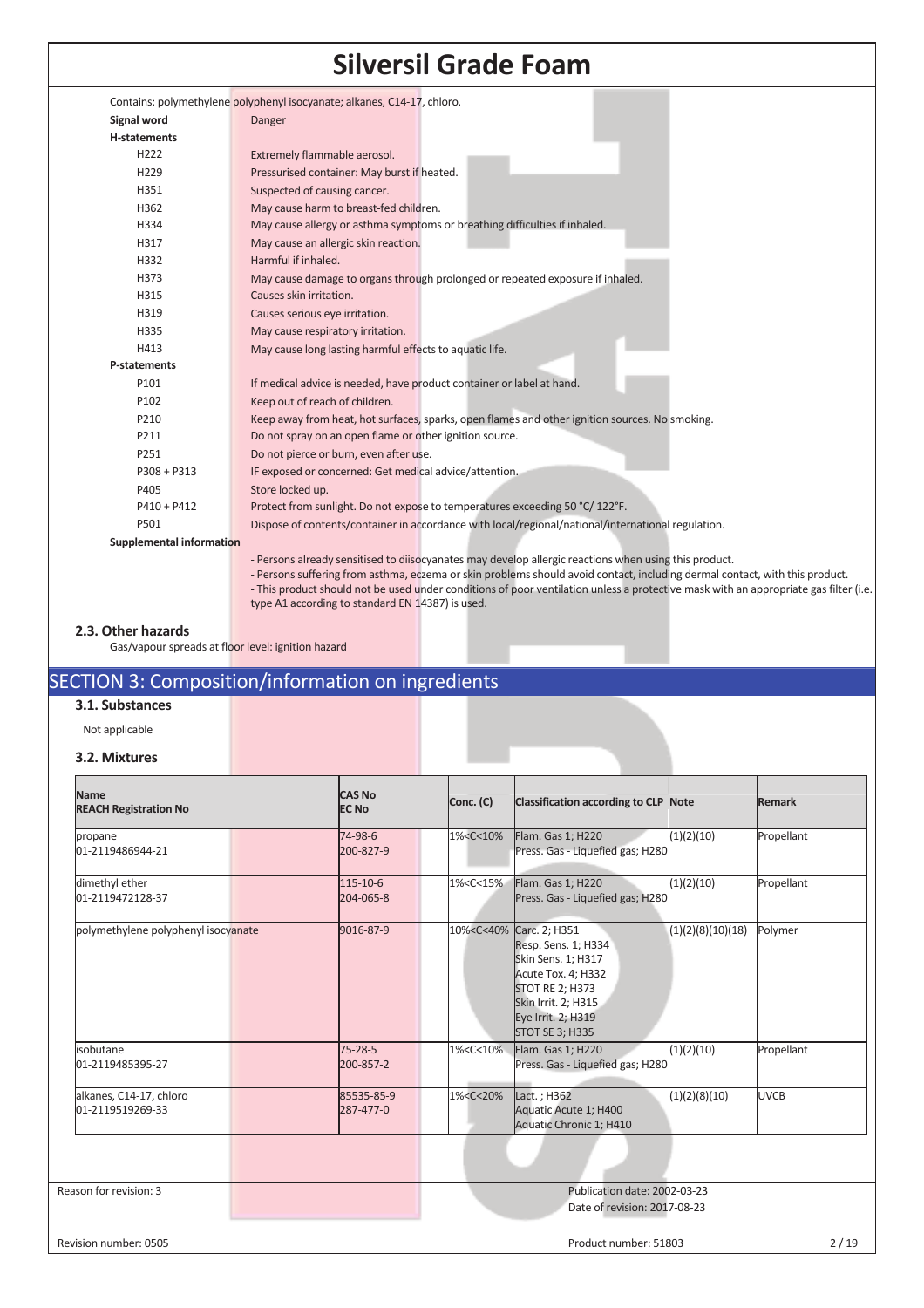|                          | Contains: polymethylene polyphenyl isocyanate; alkanes, C14-17, chloro.                                                                                                                                                              |
|--------------------------|--------------------------------------------------------------------------------------------------------------------------------------------------------------------------------------------------------------------------------------|
| Signal word              | Danger                                                                                                                                                                                                                               |
| H-statements             |                                                                                                                                                                                                                                      |
| H222                     | Extremely flammable aerosol.                                                                                                                                                                                                         |
| H <sub>229</sub>         | Pressurised container: May burst if heated.                                                                                                                                                                                          |
| H351                     | Suspected of causing cancer.                                                                                                                                                                                                         |
| H362                     | May cause harm to breast-fed children.                                                                                                                                                                                               |
| H334                     | May cause allergy or asthma symptoms or breathing difficulties if inhaled.                                                                                                                                                           |
| H317                     | May cause an allergic skin reaction.                                                                                                                                                                                                 |
| H332                     | Harmful if inhaled.                                                                                                                                                                                                                  |
| H373                     | May cause damage to organs through prolonged or repeated exposure if inhaled.                                                                                                                                                        |
| H315                     | Causes skin irritation.                                                                                                                                                                                                              |
| H319                     | Causes serious eye irritation.                                                                                                                                                                                                       |
| H335                     | May cause respiratory irritation.                                                                                                                                                                                                    |
| H413                     | May cause long lasting harmful effects to aquatic life.                                                                                                                                                                              |
| P-statements             |                                                                                                                                                                                                                                      |
| P101                     | If medical advice is needed, have product container or label at hand.                                                                                                                                                                |
| P102                     | Keep out of reach of children.                                                                                                                                                                                                       |
| P210                     | Keep away from heat, hot surfaces, sparks, open flames and other ignition sources. No smoking.                                                                                                                                       |
| P211                     | Do not spray on an open flame or other ignition source.                                                                                                                                                                              |
| P251                     | Do not pierce or burn, even after use.                                                                                                                                                                                               |
| $P308 + P313$            | IF exposed or concerned: Get medical advice/attention.                                                                                                                                                                               |
| P405                     | Store locked up.                                                                                                                                                                                                                     |
| $P410 + P412$            | Protect from sunlight. Do not expose to temperatures exceeding 50 °C/122°F.                                                                                                                                                          |
| P501                     | Dispose of contents/container in accordance with local/regional/national/international regulation.                                                                                                                                   |
| Supplemental information |                                                                                                                                                                                                                                      |
|                          | - Persons already sensitised to diisocyanates may develop allergic reactions when using this product.<br>- Persons suffering from asthma, eczema or skin problems should avoid contact, including dermal contact, with this product. |
|                          | -This product should not be used under conditions of poor ventilation unless a protective mask with an appropriate gas filter (i.e.                                                                                                  |
|                          | type A1 according to standard EN 14387) is used.                                                                                                                                                                                     |

## **2.3. Other hazards**

Gas/vapour spreads at floor level: ignition hazard

## SECTION 3: Composition/information on ingredients

## **3.1. Substances**

Not applicable

## **3.2. Mixtures**

| <b>Name</b><br><b>REACH Registration No</b> |                                              | <b>CAS No</b><br><b>EC No</b> | Conc. (C)                                                                                                                                       | Classification according to CLP Note                                                                                                                                                                                |                   | Remark      |  |
|---------------------------------------------|----------------------------------------------|-------------------------------|-------------------------------------------------------------------------------------------------------------------------------------------------|---------------------------------------------------------------------------------------------------------------------------------------------------------------------------------------------------------------------|-------------------|-------------|--|
| propane<br>01-2119486944-21                 | 74-98-6<br>1% <c<10%<br>200-827-9</c<10%<br> |                               |                                                                                                                                                 | (1)(2)(10)<br>Flam. Gas 1; H220<br>Press. Gas - Liquefied gas; H280                                                                                                                                                 | Propellant        |             |  |
| dimethyl ether<br>01-2119472128-37          |                                              | 115-10-6<br>204-065-8         | 1% <c<15%< td=""><td>Flam. Gas 1; H220<br/>Press. Gas - Liquefied gas; H280</td><td>(1)(2)(10)</td><td>Propellant</td></c<15%<>                 | Flam. Gas 1; H220<br>Press. Gas - Liquefied gas; H280                                                                                                                                                               | (1)(2)(10)        | Propellant  |  |
| polymethylene polyphenyl isocyanate         |                                              | 9016-87-9                     |                                                                                                                                                 | 10% <c<40% 2;="" carc.="" h351<br="">Resp. Sens. 1; H334<br/>Skin Sens. 1; H317<br/>Acute Tox. 4; H332<br/><b>STOT RE 2; H373</b><br/>Skin Irrit. 2; H315<br/>Eye Irrit. 2; H319<br/><b>STOT SE 3; H335</b></c<40%> | (1)(2)(8)(10)(18) | Polymer     |  |
| isobutane<br>01-2119485395-27               |                                              | $75 - 28 - 5$<br>200-857-2    | 1% <c<10%< td=""><td>Flam. Gas 1; H220<br/>Press. Gas - Liquefied gas; H280</td><td>(1)(2)(10)</td><td>Propellant</td></c<10%<>                 | Flam. Gas 1; H220<br>Press. Gas - Liquefied gas; H280                                                                                                                                                               | (1)(2)(10)        | Propellant  |  |
| alkanes, C14-17, chloro<br>01-2119519269-33 |                                              | 85535-85-9<br>287-477-0       | 1% <c<20%< td=""><td>Lact. ; H362<br/>Aquatic Acute 1; H400<br/>Aquatic Chronic 1; H410</td><td>(1)(2)(8)(10)</td><td><b>UVCB</b></td></c<20%<> | Lact. ; H362<br>Aquatic Acute 1; H400<br>Aquatic Chronic 1; H410                                                                                                                                                    | (1)(2)(8)(10)     | <b>UVCB</b> |  |
|                                             |                                              |                               |                                                                                                                                                 |                                                                                                                                                                                                                     |                   |             |  |
| Reason for revision: 3                      |                                              |                               |                                                                                                                                                 | Publication date: 2002-03-23<br>Date of revision: 2017-08-23                                                                                                                                                        |                   |             |  |

Revision number: 0505 Product number: 51803 2 / 19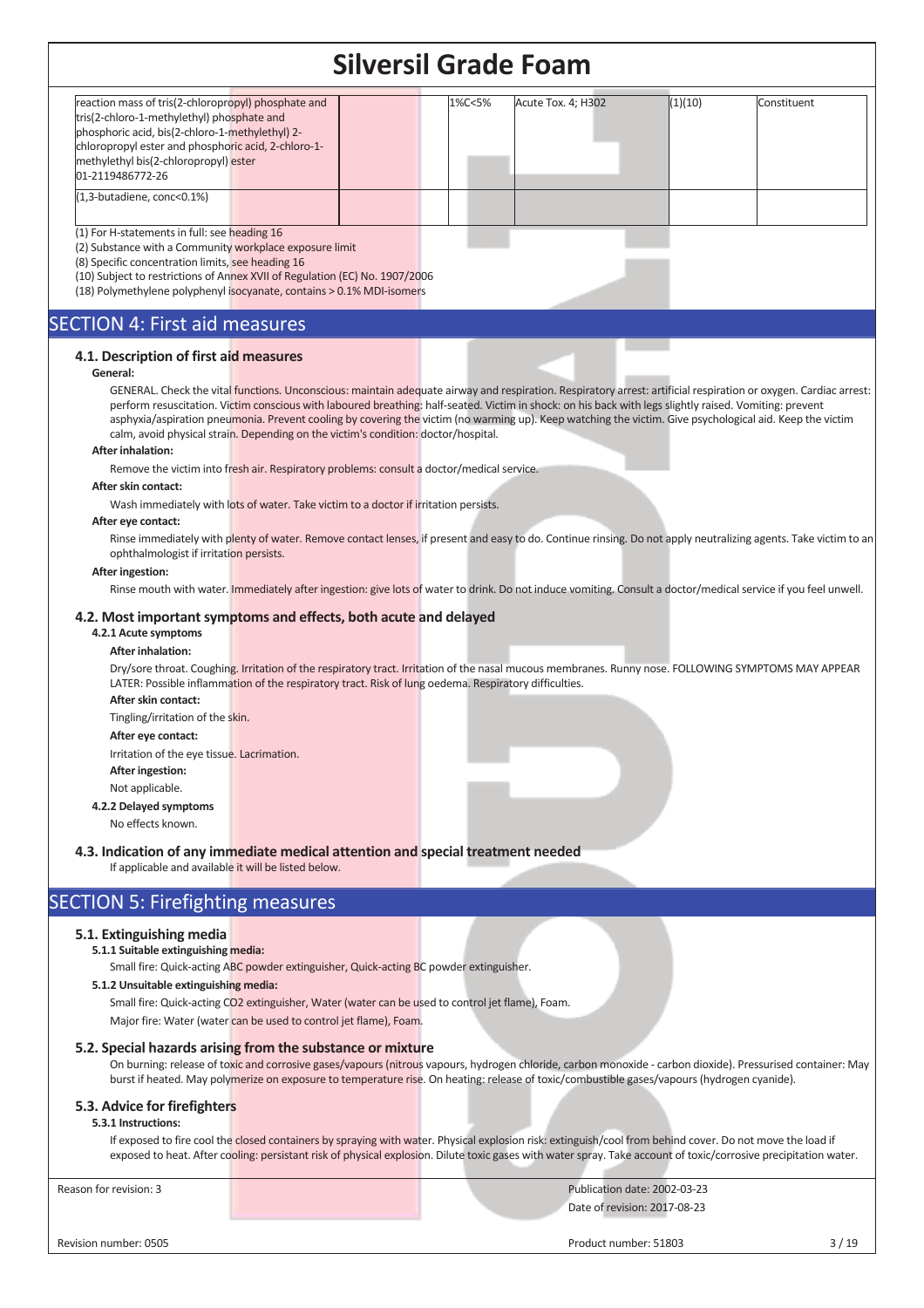|                                                                                                                                                                                                                                                                                                                                                                                                                                                                                                                                                                                                                                                                                                                                                                                                                                                                                                                                    | SIIVEISII UTAUE FUAIII |        |                                                                                                                                                                                                                                                                                                                               |                              |                                                                                                                                                                                                                                                                                                                                                                                                                                                                                                                                                                                                                                                              |
|------------------------------------------------------------------------------------------------------------------------------------------------------------------------------------------------------------------------------------------------------------------------------------------------------------------------------------------------------------------------------------------------------------------------------------------------------------------------------------------------------------------------------------------------------------------------------------------------------------------------------------------------------------------------------------------------------------------------------------------------------------------------------------------------------------------------------------------------------------------------------------------------------------------------------------|------------------------|--------|-------------------------------------------------------------------------------------------------------------------------------------------------------------------------------------------------------------------------------------------------------------------------------------------------------------------------------|------------------------------|--------------------------------------------------------------------------------------------------------------------------------------------------------------------------------------------------------------------------------------------------------------------------------------------------------------------------------------------------------------------------------------------------------------------------------------------------------------------------------------------------------------------------------------------------------------------------------------------------------------------------------------------------------------|
| reaction mass of tris(2-chloropropyl) phosphate and<br>tris(2-chloro-1-methylethyl) phosphate and<br>phosphoric acid, bis(2-chloro-1-methylethyl) 2-<br>chloropropyl ester and phosphoric acid, 2-chloro-1-<br>methylethyl bis(2-chloropropyl) ester<br>01-2119486772-26                                                                                                                                                                                                                                                                                                                                                                                                                                                                                                                                                                                                                                                           |                        | 1%C<5% | Acute Tox. 4; H302                                                                                                                                                                                                                                                                                                            | (1)(10)                      | Constituent                                                                                                                                                                                                                                                                                                                                                                                                                                                                                                                                                                                                                                                  |
| (1,3-butadiene, conc<0.1%)                                                                                                                                                                                                                                                                                                                                                                                                                                                                                                                                                                                                                                                                                                                                                                                                                                                                                                         |                        |        |                                                                                                                                                                                                                                                                                                                               |                              |                                                                                                                                                                                                                                                                                                                                                                                                                                                                                                                                                                                                                                                              |
| (1) For H-statements in full: see heading 16<br>(2) Substance with a Community workplace exposure limit<br>(8) Specific concentration limits, see heading 16<br>(10) Subject to restrictions of Annex XVII of Regulation (EC) No. 1907/2006<br>(18) Polymethylene polyphenyl isocyanate, contains > 0.1% MDI-isomers                                                                                                                                                                                                                                                                                                                                                                                                                                                                                                                                                                                                               |                        |        |                                                                                                                                                                                                                                                                                                                               |                              |                                                                                                                                                                                                                                                                                                                                                                                                                                                                                                                                                                                                                                                              |
| <b>SECTION 4: First aid measures</b>                                                                                                                                                                                                                                                                                                                                                                                                                                                                                                                                                                                                                                                                                                                                                                                                                                                                                               |                        |        |                                                                                                                                                                                                                                                                                                                               |                              |                                                                                                                                                                                                                                                                                                                                                                                                                                                                                                                                                                                                                                                              |
| 4.1. Description of first aid measures<br>General:<br>calm, avoid physical strain. Depending on the victim's condition: doctor/hospital.<br><b>After inhalation:</b><br>Remove the victim into fresh air. Respiratory problems: consult a doctor/medical service.<br>After skin contact:<br>Wash immediately with lots of water. Take victim to a doctor if irritation persists.<br>After eye contact:<br>ophthalmologist if irritation persists.<br>After ingestion:<br>4.2. Most important symptoms and effects, both acute and delayed<br>4.2.1 Acute symptoms<br><b>After inhalation:</b><br>LATER: Possible inflammation of the respiratory tract. Risk of lung oedema. Respiratory difficulties.<br>After skin contact:<br>Tingling/irritation of the skin.<br>After eye contact:<br>Irritation of the eye tissue. Lacrimation.<br><b>After ingestion:</b><br>Not applicable.<br>4.2.2 Delayed symptoms<br>No effects known. |                        |        | perform resuscitation. Victim conscious with laboured breathing: half-seated. Victim in shock: on his back with legs slightly raised. Vomiting: prevent<br>asphyxia/aspiration pneumonia. Prevent cooling by covering the victim (no warming up). Keep watching the victim. Give psychological aid. Keep the victim           |                              | GENERAL. Check the vital functions. Unconscious: maintain adequate airway and respiration. Respiratory arrest: artificial respiration or oxygen. Cardiac arrest:<br>Rinse immediately with plenty of water. Remove contact lenses, if present and easy to do. Continue rinsing. Do not apply neutralizing agents. Take victim to an<br>Rinse mouth with water. Immediately after ingestion: give lots of water to drink. Do not induce vomiting. Consult a doctor/medical service if you feel unwell.<br>Dry/sore throat. Coughing. Irritation of the respiratory tract. Irritation of the nasal mucous membranes. Runny nose. FOLLOWING SYMPTOMS MAY APPEAR |
| 4.3. Indication of any immediate medical attention and special treatment needed<br>If applicable and available it will be listed below.                                                                                                                                                                                                                                                                                                                                                                                                                                                                                                                                                                                                                                                                                                                                                                                            |                        |        |                                                                                                                                                                                                                                                                                                                               |                              |                                                                                                                                                                                                                                                                                                                                                                                                                                                                                                                                                                                                                                                              |
| <b>SECTION 5: Firefighting measures</b>                                                                                                                                                                                                                                                                                                                                                                                                                                                                                                                                                                                                                                                                                                                                                                                                                                                                                            |                        |        |                                                                                                                                                                                                                                                                                                                               |                              |                                                                                                                                                                                                                                                                                                                                                                                                                                                                                                                                                                                                                                                              |
| 5.1. Extinguishing media<br>5.1.1 Suitable extinguishing media:<br>Small fire: Quick-acting ABC powder extinguisher, Quick-acting BC powder extinguisher.<br>5.1.2 Unsuitable extinguishing media:<br>Small fire: Quick-acting CO2 extinguisher, Water (water can be used to control jet flame), Foam.<br>Major fire: Water (water can be used to control jet flame), Foam.                                                                                                                                                                                                                                                                                                                                                                                                                                                                                                                                                        |                        |        |                                                                                                                                                                                                                                                                                                                               |                              |                                                                                                                                                                                                                                                                                                                                                                                                                                                                                                                                                                                                                                                              |
| 5.2. Special hazards arising from the substance or mixture                                                                                                                                                                                                                                                                                                                                                                                                                                                                                                                                                                                                                                                                                                                                                                                                                                                                         |                        |        | burst if heated. May polymerize on exposure to temperature rise. On heating: release of toxic/combustible gases/vapours (hydrogen cyanide).                                                                                                                                                                                   |                              | On burning: release of toxic and corrosive gases/vapours (nitrous vapours, hydrogen chloride, carbon monoxide - carbon dioxide). Pressurised container: May                                                                                                                                                                                                                                                                                                                                                                                                                                                                                                  |
| 5.3. Advice for firefighters<br>5.3.1 Instructions:                                                                                                                                                                                                                                                                                                                                                                                                                                                                                                                                                                                                                                                                                                                                                                                                                                                                                |                        |        | If exposed to fire cool the closed containers by spraying with water. Physical explosion risk: extinguish/cool from behind cover. Do not move the load if<br>exposed to heat. After cooling: persistant risk of physical explosion. Dilute toxic gases with water spray. Take account of toxic/corrosive precipitation water. |                              |                                                                                                                                                                                                                                                                                                                                                                                                                                                                                                                                                                                                                                                              |
| Reason for revision: 3                                                                                                                                                                                                                                                                                                                                                                                                                                                                                                                                                                                                                                                                                                                                                                                                                                                                                                             |                        |        |                                                                                                                                                                                                                                                                                                                               | Publication date: 2002-03-23 |                                                                                                                                                                                                                                                                                                                                                                                                                                                                                                                                                                                                                                                              |
|                                                                                                                                                                                                                                                                                                                                                                                                                                                                                                                                                                                                                                                                                                                                                                                                                                                                                                                                    |                        |        |                                                                                                                                                                                                                                                                                                                               | Date of revision: 2017-08-23 |                                                                                                                                                                                                                                                                                                                                                                                                                                                                                                                                                                                                                                                              |
| Revision number: 0505                                                                                                                                                                                                                                                                                                                                                                                                                                                                                                                                                                                                                                                                                                                                                                                                                                                                                                              |                        |        | Product number: 51803                                                                                                                                                                                                                                                                                                         |                              | 3/19                                                                                                                                                                                                                                                                                                                                                                                                                                                                                                                                                                                                                                                         |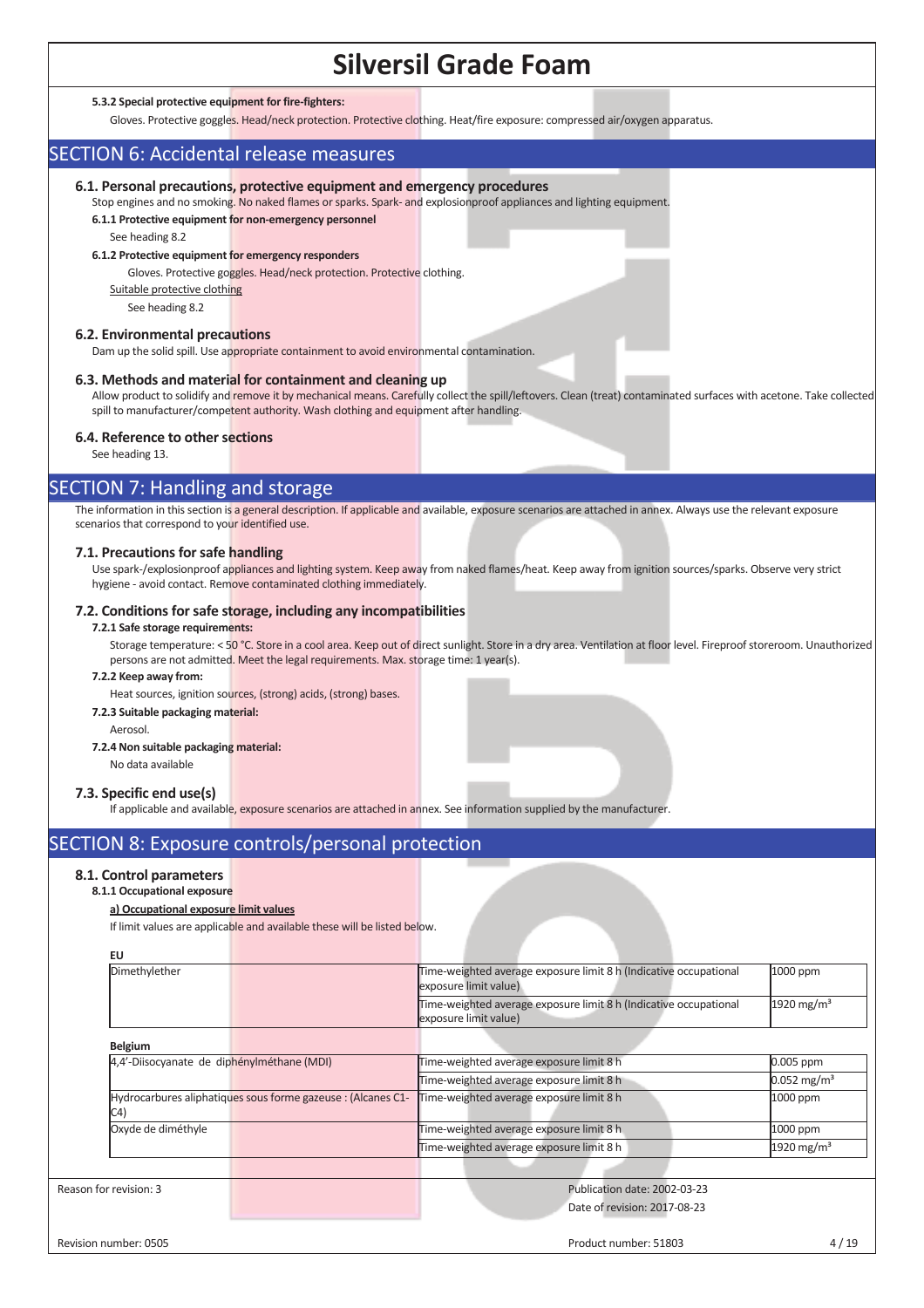#### **5.3.2 Special protective equipment for fire-fighters:**

Gloves. Protective goggles. Head/neck protection. Protective clothing. Heat/fire exposure: compressed air/oxygen apparatus.

## SECTION 6: Accidental release measures

#### **6.1. Personal precautions, protective equipment and emergency procedures**

Stop engines and no smoking. No naked flames or sparks. Spark- and explosionproof appliances and lighting equipment. **6.1.1 Protective equipment for non-emergency personnel** 

See heading 8.2

#### **6.1.2 Protective equipment for emergency responders**

Gloves. Protective goggles. Head/neck protection. Protective clothing.

Suitable protective clothing

See heading 8.2

### **6.2. Environmental precautions**

Dam up the solid spill. Use appropriate containment to avoid environmental contamination.

#### **6.3. Methods and material for containment and cleaning up**

Allow product to solidify and remove it by mechanical means. Carefully collect the spill/leftovers. Clean (treat) contaminated surfaces with acetone. Take collected spill to manufacturer/competent authority. Wash clothing and equipment after handling.

## **6.4. Reference to other sections**

See heading 13.

## SECTION 7: Handling and storage

The information in this section is a general description. If applicable and available, exposure scenarios are attached in annex. Always use the relevant exposure scenarios that correspond to your identified use.

### **7.1. Precautions for safe handling**

Use spark-/explosionproof appliances and lighting system. Keep away from naked flames/heat. Keep away from ignition sources/sparks. Observe very strict hygiene - avoid contact. Remove contaminated clothing immediately.

## **7.2. Conditions for safe storage, including any incompatibilities**

#### **7.2.1 Safe storage requirements:**

Storage temperature: < 50 °C. Store in a cool area. Keep out of direct sunlight. Store in a dry area. Ventilation at floor level. Fireproof storeroom. Unauthorized persons are not admitted. Meet the legal requirements. Max. storage time: 1 year(s).

### **7.2.2 Keep away from:**

Heat sources, ignition sources, (strong) acids, (strong) bases.

## **7.2.3 Suitable packaging material:**

Aerosol.

#### **7.2.4 Non suitable packaging material:**

No data available

#### **7.3. Specific end use(s)**

If applicable and available, exposure scenarios are attached in annex. See information supplied by the manufacturer

## SECTION 8: Exposure controls/personal protection

## **8.1. Control parameters**

## **8.1.1 Occupational exposure**

## **a) Occupational exposure limit values**

If limit values are applicable and available these will be listed below.

| EU                                                                  |                                                                                            |                           |
|---------------------------------------------------------------------|--------------------------------------------------------------------------------------------|---------------------------|
| Dimethylether                                                       | Time-weighted average exposure limit 8 h (Indicative occupational<br>exposure limit value) | 1000 ppm                  |
|                                                                     | Time-weighted average exposure limit 8 h (Indicative occupational<br>exposure limit value) | 1920 mg/m <sup>3</sup>    |
| <b>Belgium</b>                                                      |                                                                                            |                           |
| 4,4'-Diisocyanate de diphénylméthane (MDI)                          | Time-weighted average exposure limit 8 h                                                   | 0.005 ppm                 |
|                                                                     | Time-weighted average exposure limit 8 h                                                   | $0.052 \,\mathrm{mg/m^3}$ |
| Hydrocarbures aliphatiques sous forme gazeuse : (Alcanes C1-<br>C4) | Time-weighted average exposure limit 8 h                                                   | 1000 ppm                  |
| Oxyde de diméthyle                                                  | Time-weighted average exposure limit 8 h                                                   | 1000 ppm                  |
|                                                                     | Time-weighted average exposure limit 8 h                                                   | 1920 mg/m <sup>3</sup>    |
|                                                                     |                                                                                            |                           |
| Reason for revision: 3                                              | Publication date: 2002-03-23<br>Date of revision: 2017-08-23                               |                           |
| Revision number: 0505                                               | Product number: 51803                                                                      | 4/19                      |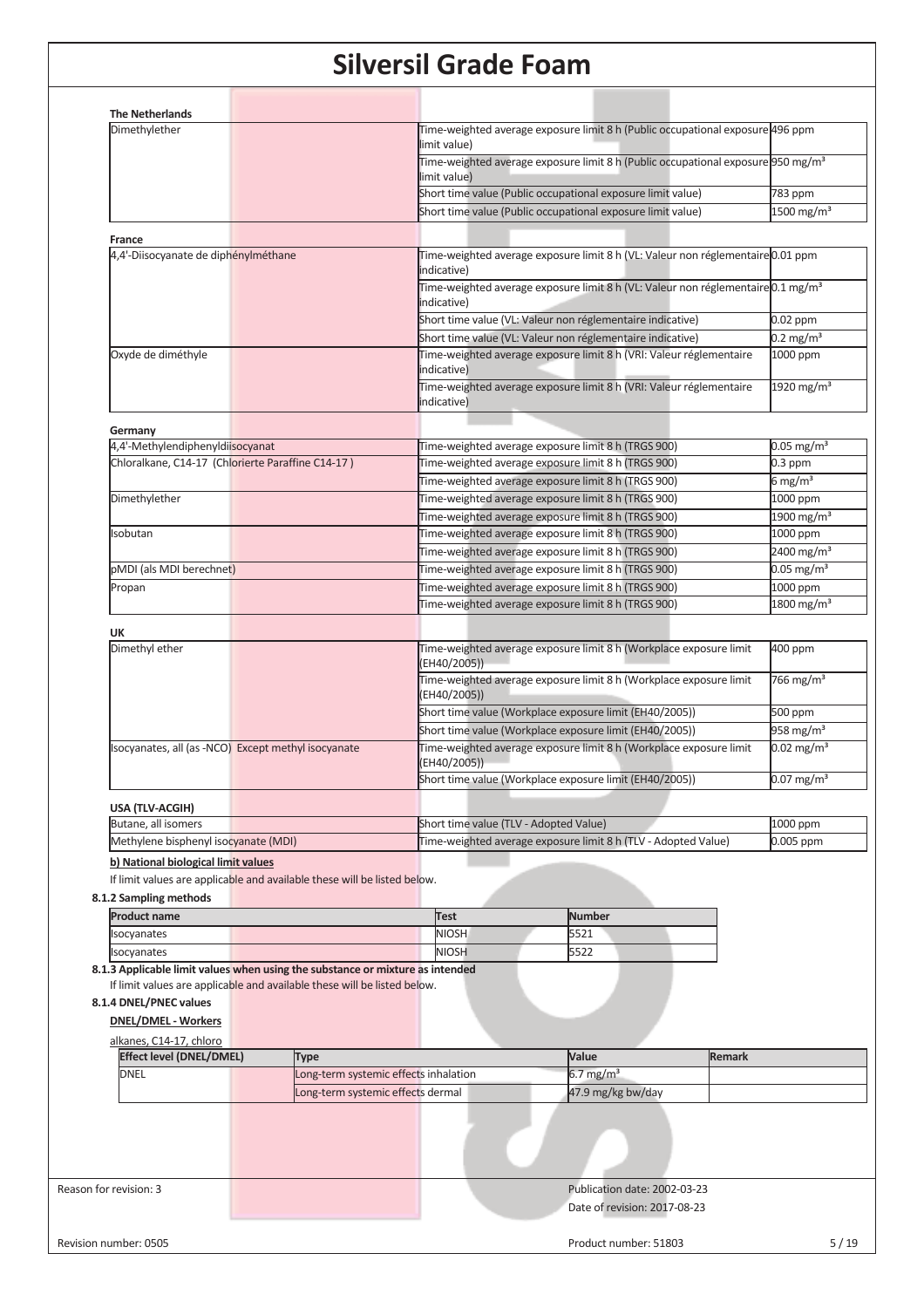| 4,4'-Diisocyanate de diphénylméthane                                     | limit value)<br>limit value)<br>indicative)<br>indicative)<br>indicative)          | Time-weighted average exposure limit 8 h (Public occupational exposure 496 ppm<br>Time-weighted average exposure limit 8 h (Public occupational exposure 950 mg/m <sup>3</sup><br>Short time value (Public occupational exposure limit value)<br>Short time value (Public occupational exposure limit value)<br>Time-weighted average exposure limit 8 h (VL: Valeur non réglementaire 0.01 ppm<br>Time-weighted average exposure limit 8 h (VL: Valeur non réglementaire 0.1 mg/m <sup>3</sup><br>Short time value (VL: Valeur non réglementaire indicative)<br>Short time value (VL: Valeur non réglementaire indicative) | 783 ppm<br>1500 mg/m <sup>3</sup><br>0.02 ppm                                                         |  |  |
|--------------------------------------------------------------------------|------------------------------------------------------------------------------------|-----------------------------------------------------------------------------------------------------------------------------------------------------------------------------------------------------------------------------------------------------------------------------------------------------------------------------------------------------------------------------------------------------------------------------------------------------------------------------------------------------------------------------------------------------------------------------------------------------------------------------|-------------------------------------------------------------------------------------------------------|--|--|
|                                                                          |                                                                                    |                                                                                                                                                                                                                                                                                                                                                                                                                                                                                                                                                                                                                             |                                                                                                       |  |  |
|                                                                          |                                                                                    |                                                                                                                                                                                                                                                                                                                                                                                                                                                                                                                                                                                                                             |                                                                                                       |  |  |
|                                                                          |                                                                                    |                                                                                                                                                                                                                                                                                                                                                                                                                                                                                                                                                                                                                             |                                                                                                       |  |  |
|                                                                          |                                                                                    |                                                                                                                                                                                                                                                                                                                                                                                                                                                                                                                                                                                                                             |                                                                                                       |  |  |
|                                                                          |                                                                                    |                                                                                                                                                                                                                                                                                                                                                                                                                                                                                                                                                                                                                             |                                                                                                       |  |  |
|                                                                          |                                                                                    |                                                                                                                                                                                                                                                                                                                                                                                                                                                                                                                                                                                                                             |                                                                                                       |  |  |
|                                                                          |                                                                                    |                                                                                                                                                                                                                                                                                                                                                                                                                                                                                                                                                                                                                             |                                                                                                       |  |  |
|                                                                          |                                                                                    |                                                                                                                                                                                                                                                                                                                                                                                                                                                                                                                                                                                                                             |                                                                                                       |  |  |
|                                                                          |                                                                                    |                                                                                                                                                                                                                                                                                                                                                                                                                                                                                                                                                                                                                             |                                                                                                       |  |  |
|                                                                          |                                                                                    |                                                                                                                                                                                                                                                                                                                                                                                                                                                                                                                                                                                                                             |                                                                                                       |  |  |
|                                                                          |                                                                                    |                                                                                                                                                                                                                                                                                                                                                                                                                                                                                                                                                                                                                             | $0.2 \text{ mg/m}^3$                                                                                  |  |  |
|                                                                          |                                                                                    | Time-weighted average exposure limit 8 h (VRI: Valeur réglementaire                                                                                                                                                                                                                                                                                                                                                                                                                                                                                                                                                         | 1000 ppm                                                                                              |  |  |
|                                                                          | indicative)                                                                        | Time-weighted average exposure limit 8 h (VRI: Valeur réglementaire                                                                                                                                                                                                                                                                                                                                                                                                                                                                                                                                                         | 1920 mg/m <sup>3</sup>                                                                                |  |  |
|                                                                          |                                                                                    |                                                                                                                                                                                                                                                                                                                                                                                                                                                                                                                                                                                                                             |                                                                                                       |  |  |
|                                                                          |                                                                                    |                                                                                                                                                                                                                                                                                                                                                                                                                                                                                                                                                                                                                             |                                                                                                       |  |  |
| Chloralkane, C14-17 (Chlorierte Paraffine C14-17)                        |                                                                                    | Time-weighted average exposure limit 8 h (TRGS 900)<br>Time-weighted average exposure limit 8 h (TRGS 900)                                                                                                                                                                                                                                                                                                                                                                                                                                                                                                                  | $0.05$ mg/m <sup>3</sup><br>$0.3$ ppm                                                                 |  |  |
|                                                                          |                                                                                    | Time-weighted average exposure limit 8 h (TRGS 900)                                                                                                                                                                                                                                                                                                                                                                                                                                                                                                                                                                         | 6 mg/m <sup>3</sup>                                                                                   |  |  |
|                                                                          |                                                                                    |                                                                                                                                                                                                                                                                                                                                                                                                                                                                                                                                                                                                                             |                                                                                                       |  |  |
|                                                                          |                                                                                    | Time-weighted average exposure limit 8 h (TRGS 900)                                                                                                                                                                                                                                                                                                                                                                                                                                                                                                                                                                         | 1000 ppm                                                                                              |  |  |
|                                                                          |                                                                                    | Time-weighted average exposure limit 8 h (TRGS 900)                                                                                                                                                                                                                                                                                                                                                                                                                                                                                                                                                                         | 1900 mg/m <sup>3</sup>                                                                                |  |  |
|                                                                          |                                                                                    | Time-weighted average exposure limit 8 h (TRGS 900)                                                                                                                                                                                                                                                                                                                                                                                                                                                                                                                                                                         | 1000 ppm                                                                                              |  |  |
|                                                                          |                                                                                    | Time-weighted average exposure limit 8 h (TRGS 900)                                                                                                                                                                                                                                                                                                                                                                                                                                                                                                                                                                         | 2400 mg/m <sup>3</sup>                                                                                |  |  |
|                                                                          |                                                                                    | Time-weighted average exposure limit 8 h (TRGS 900)                                                                                                                                                                                                                                                                                                                                                                                                                                                                                                                                                                         | $0.05$ mg/m <sup>3</sup>                                                                              |  |  |
|                                                                          |                                                                                    | Time-weighted average exposure limit 8 h (TRGS 900)                                                                                                                                                                                                                                                                                                                                                                                                                                                                                                                                                                         | 1000 ppm                                                                                              |  |  |
|                                                                          |                                                                                    | Time-weighted average exposure limit 8 h (TRGS 900)                                                                                                                                                                                                                                                                                                                                                                                                                                                                                                                                                                         | 1800 mg/m <sup>3</sup>                                                                                |  |  |
|                                                                          |                                                                                    |                                                                                                                                                                                                                                                                                                                                                                                                                                                                                                                                                                                                                             |                                                                                                       |  |  |
|                                                                          | (EH40/2005))                                                                       | Time-weighted average exposure limit 8 h (Workplace exposure limit                                                                                                                                                                                                                                                                                                                                                                                                                                                                                                                                                          | 400 ppm                                                                                               |  |  |
|                                                                          | (EH40/2005))                                                                       | Time-weighted average exposure limit 8 h (Workplace exposure limit                                                                                                                                                                                                                                                                                                                                                                                                                                                                                                                                                          | 766 mg/m <sup>3</sup>                                                                                 |  |  |
|                                                                          |                                                                                    | Short time value (Workplace exposure limit (EH40/2005))                                                                                                                                                                                                                                                                                                                                                                                                                                                                                                                                                                     | 500 ppm                                                                                               |  |  |
|                                                                          | Short time value (Workplace exposure limit (EH40/2005))                            |                                                                                                                                                                                                                                                                                                                                                                                                                                                                                                                                                                                                                             |                                                                                                       |  |  |
| socyanates, all (as -NCO) Except methyl isocyanate                       | Time-weighted average exposure limit 8 h (Workplace exposure limit<br>(EH40/2005)) |                                                                                                                                                                                                                                                                                                                                                                                                                                                                                                                                                                                                                             |                                                                                                       |  |  |
|                                                                          |                                                                                    | Short time value (Workplace exposure limit (EH40/2005))                                                                                                                                                                                                                                                                                                                                                                                                                                                                                                                                                                     | $0.07 \text{ mg/m}^3$                                                                                 |  |  |
|                                                                          |                                                                                    |                                                                                                                                                                                                                                                                                                                                                                                                                                                                                                                                                                                                                             |                                                                                                       |  |  |
|                                                                          | Short time value (TLV - Adopted Value)                                             |                                                                                                                                                                                                                                                                                                                                                                                                                                                                                                                                                                                                                             | 1000 ppm                                                                                              |  |  |
| Methylene bisphenyl isocyanate (MDI)                                     |                                                                                    | Time-weighted average exposure limit 8 h (TLV - Adopted Value)                                                                                                                                                                                                                                                                                                                                                                                                                                                                                                                                                              | 0.005 ppm                                                                                             |  |  |
|                                                                          |                                                                                    |                                                                                                                                                                                                                                                                                                                                                                                                                                                                                                                                                                                                                             |                                                                                                       |  |  |
| If limit values are applicable and available these will be listed below. |                                                                                    |                                                                                                                                                                                                                                                                                                                                                                                                                                                                                                                                                                                                                             |                                                                                                       |  |  |
|                                                                          |                                                                                    |                                                                                                                                                                                                                                                                                                                                                                                                                                                                                                                                                                                                                             |                                                                                                       |  |  |
|                                                                          |                                                                                    |                                                                                                                                                                                                                                                                                                                                                                                                                                                                                                                                                                                                                             |                                                                                                       |  |  |
|                                                                          |                                                                                    |                                                                                                                                                                                                                                                                                                                                                                                                                                                                                                                                                                                                                             |                                                                                                       |  |  |
|                                                                          |                                                                                    |                                                                                                                                                                                                                                                                                                                                                                                                                                                                                                                                                                                                                             |                                                                                                       |  |  |
|                                                                          |                                                                                    |                                                                                                                                                                                                                                                                                                                                                                                                                                                                                                                                                                                                                             |                                                                                                       |  |  |
|                                                                          |                                                                                    |                                                                                                                                                                                                                                                                                                                                                                                                                                                                                                                                                                                                                             |                                                                                                       |  |  |
|                                                                          |                                                                                    |                                                                                                                                                                                                                                                                                                                                                                                                                                                                                                                                                                                                                             |                                                                                                       |  |  |
|                                                                          |                                                                                    |                                                                                                                                                                                                                                                                                                                                                                                                                                                                                                                                                                                                                             |                                                                                                       |  |  |
|                                                                          |                                                                                    |                                                                                                                                                                                                                                                                                                                                                                                                                                                                                                                                                                                                                             |                                                                                                       |  |  |
|                                                                          |                                                                                    |                                                                                                                                                                                                                                                                                                                                                                                                                                                                                                                                                                                                                             |                                                                                                       |  |  |
| Type                                                                     |                                                                                    |                                                                                                                                                                                                                                                                                                                                                                                                                                                                                                                                                                                                                             |                                                                                                       |  |  |
|                                                                          |                                                                                    | <b>Test</b><br><b>NIOSH</b><br><b>NIOSH</b><br>8.1.3 Applicable limit values when using the substance or mixture as intended<br>If limit values are applicable and available these will be listed below.<br>Long-term systemic effects inhalation<br>Long-term systemic effects dermal                                                                                                                                                                                                                                                                                                                                      | <b>Number</b><br>5521<br>5522<br>Value<br><b>Remark</b><br>6.7 mg/m <sup>3</sup><br>47.9 mg/kg bw/day |  |  |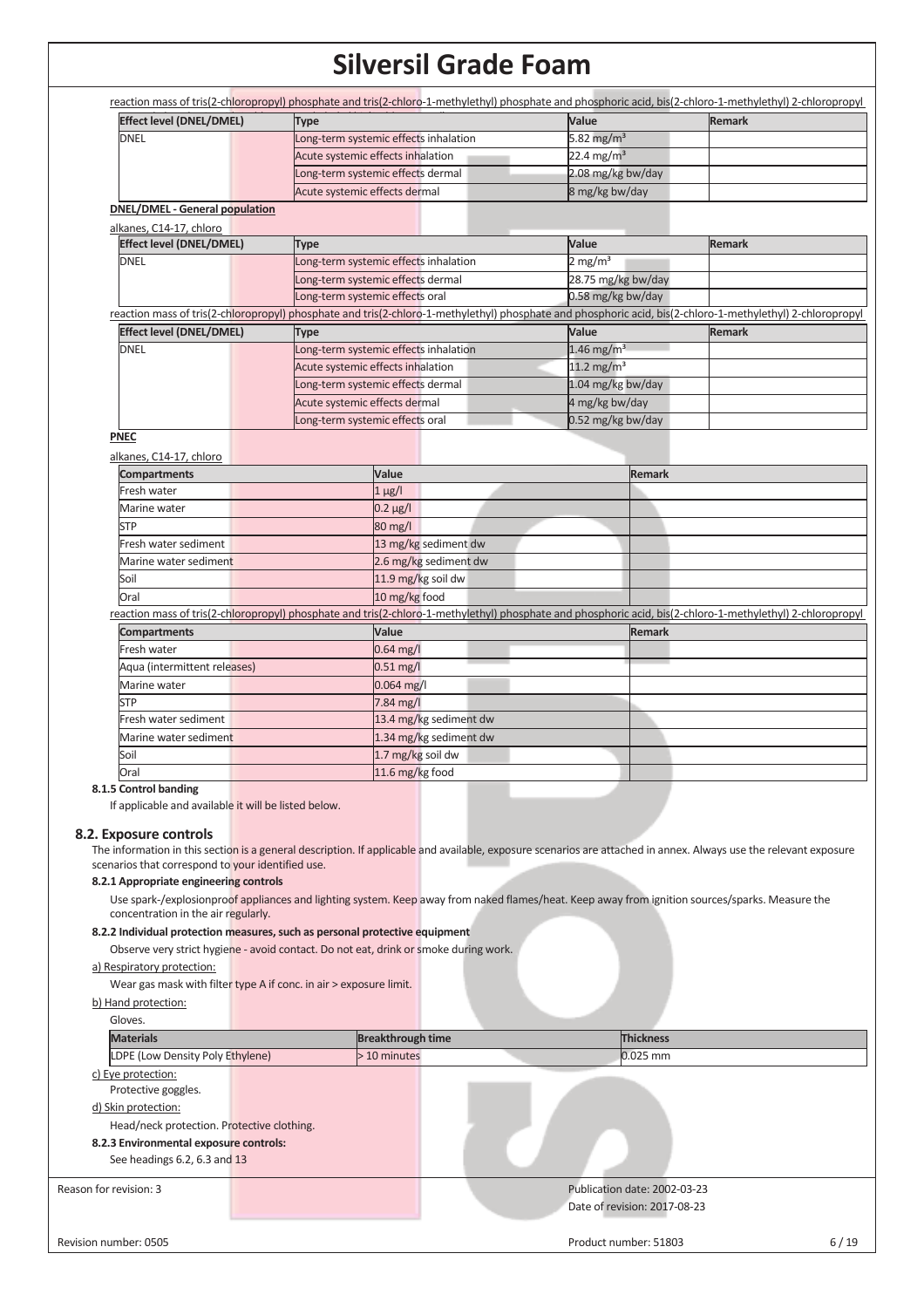| <b>Effect level (DNEL/DMEL)</b>                                    | <b>Type</b>                                                                                                                                                       | Value                    | Remark        |
|--------------------------------------------------------------------|-------------------------------------------------------------------------------------------------------------------------------------------------------------------|--------------------------|---------------|
| <b>DNEL</b>                                                        | Long-term systemic effects inhalation                                                                                                                             | 5.82 mg/ $m3$            |               |
|                                                                    | Acute systemic effects inhalation                                                                                                                                 | 22.4 mg/m <sup>3</sup>   |               |
|                                                                    | Long-term systemic effects dermal                                                                                                                                 | 2.08 mg/kg bw/day        |               |
|                                                                    | Acute systemic effects dermal                                                                                                                                     | 8 mg/kg bw/day           |               |
| <b>DNEL/DMEL - General population</b>                              |                                                                                                                                                                   |                          |               |
| alkanes, C14-17, chloro<br><b>Effect level (DNEL/DMEL)</b>         | <b>Type</b>                                                                                                                                                       | Value                    | <b>Remark</b> |
| <b>DNEL</b>                                                        | Long-term systemic effects inhalation                                                                                                                             | $2$ mg/m <sup>3</sup>    |               |
|                                                                    | Long-term systemic effects dermal                                                                                                                                 | 28.75 mg/kg bw/day       |               |
|                                                                    | Long-term systemic effects oral                                                                                                                                   | 0.58 mg/kg bw/day        |               |
|                                                                    | reaction mass of tris(2-chloropropyl) phosphate and tris(2-chloro-1-methylethyl) phosphate and phosphoric acid, bis(2-chloro-1-methylethyl) 2-chloropropyl        |                          |               |
| <b>Effect level (DNEL/DMEL)</b>                                    | <b>Type</b>                                                                                                                                                       | Value                    | <b>Remark</b> |
| <b>DNEL</b>                                                        | Long-term systemic effects inhalation                                                                                                                             | $1.46$ mg/m <sup>3</sup> |               |
|                                                                    | Acute systemic effects inhalation                                                                                                                                 | $11.2$ mg/m <sup>3</sup> |               |
|                                                                    | Long-term systemic effects dermal                                                                                                                                 | 1.04 mg/kg bw/day        |               |
|                                                                    | Acute systemic effects dermal                                                                                                                                     | 4 mg/kg bw/day           |               |
|                                                                    | Long-term systemic effects oral                                                                                                                                   | 0.52 mg/kg bw/day        |               |
| <b>PNEC</b>                                                        |                                                                                                                                                                   |                          |               |
| alkanes, C14-17, chloro                                            |                                                                                                                                                                   |                          |               |
| <b>Compartments</b>                                                | Value                                                                                                                                                             | <b>Remark</b>            |               |
| Fresh water                                                        | $1 \mu g/l$                                                                                                                                                       |                          |               |
| Marine water                                                       | $0.2 \mu g/l$                                                                                                                                                     |                          |               |
| <b>STP</b>                                                         | 80 mg/l                                                                                                                                                           |                          |               |
| Fresh water sediment                                               | 13 mg/kg sediment dw                                                                                                                                              |                          |               |
| Marine water sediment                                              | 2.6 mg/kg sediment dw                                                                                                                                             |                          |               |
| Soil                                                               | 11.9 mg/kg soil dw                                                                                                                                                |                          |               |
| Oral                                                               | 10 mg/kg food                                                                                                                                                     |                          |               |
|                                                                    | reaction mass of tris(2-chloropropyl) phosphate and tris(2-chloro-1-methylethyl) phosphate and phosphoric acid, bis(2-chloro-1-methylethyl) 2-chloropropyl        |                          |               |
| <b>Compartments</b>                                                | Value                                                                                                                                                             | <b>Remark</b>            |               |
| Fresh water                                                        | $0.64$ mg/l                                                                                                                                                       |                          |               |
| Aqua (intermittent releases)                                       | $0.51$ mg/l                                                                                                                                                       |                          |               |
| Marine water                                                       | 0.064 mg/l                                                                                                                                                        |                          |               |
| <b>STP</b>                                                         | 7.84 mg/l                                                                                                                                                         |                          |               |
| Fresh water sediment                                               | 13.4 mg/kg sediment dw                                                                                                                                            |                          |               |
| Marine water sediment                                              | 1.34 mg/kg sediment dw                                                                                                                                            |                          |               |
| Soil                                                               | 1.7 mg/kg soil dw                                                                                                                                                 |                          |               |
| Oral                                                               | 11.6 mg/kg food                                                                                                                                                   |                          |               |
| 8.1.5 Control banding                                              |                                                                                                                                                                   |                          |               |
| If applicable and available it will be listed below.               |                                                                                                                                                                   |                          |               |
| 8.2. Exposure controls                                             |                                                                                                                                                                   |                          |               |
|                                                                    | The information in this section is a general description. If applicable and available, exposure scenarios are attached in annex. Always use the relevant exposure |                          |               |
| scenarios that correspond to your identified use.                  |                                                                                                                                                                   |                          |               |
| 8.2.1 Appropriate engineering controls                             |                                                                                                                                                                   |                          |               |
| concentration in the air regularly.                                | Use spark-/explosionproof appliances and lighting system. Keep away from naked flames/heat. Keep away from ignition sources/sparks. Measure the                   |                          |               |
|                                                                    | 8.2.2 Individual protection measures, such as personal protective equipment                                                                                       |                          |               |
|                                                                    | Observe very strict hygiene - avoid contact. Do not eat, drink or smoke during work.                                                                              |                          |               |
| a) Respiratory protection:                                         |                                                                                                                                                                   |                          |               |
| Wear gas mask with filter type A if conc. in air > exposure limit. |                                                                                                                                                                   |                          |               |
| b) Hand protection:                                                |                                                                                                                                                                   |                          |               |
| Gloves.                                                            |                                                                                                                                                                   |                          |               |
|                                                                    |                                                                                                                                                                   | <b>Thickness</b>         |               |
| <b>Materials</b>                                                   | <b>Breakthrough time</b>                                                                                                                                          |                          |               |
| LDPE (Low Density Poly Ethylene)                                   | > 10 minutes                                                                                                                                                      | 0.025 mm                 |               |
| c) Eye protection:                                                 |                                                                                                                                                                   |                          |               |
| Protective goggles.                                                |                                                                                                                                                                   |                          |               |

Head/neck protection. Protective clothing.

## **8.2.3 Environmental exposure controls:** See headings 6.2, 6.3 and 13

Reason for revision: 3 **Publication date: 2002-03-23**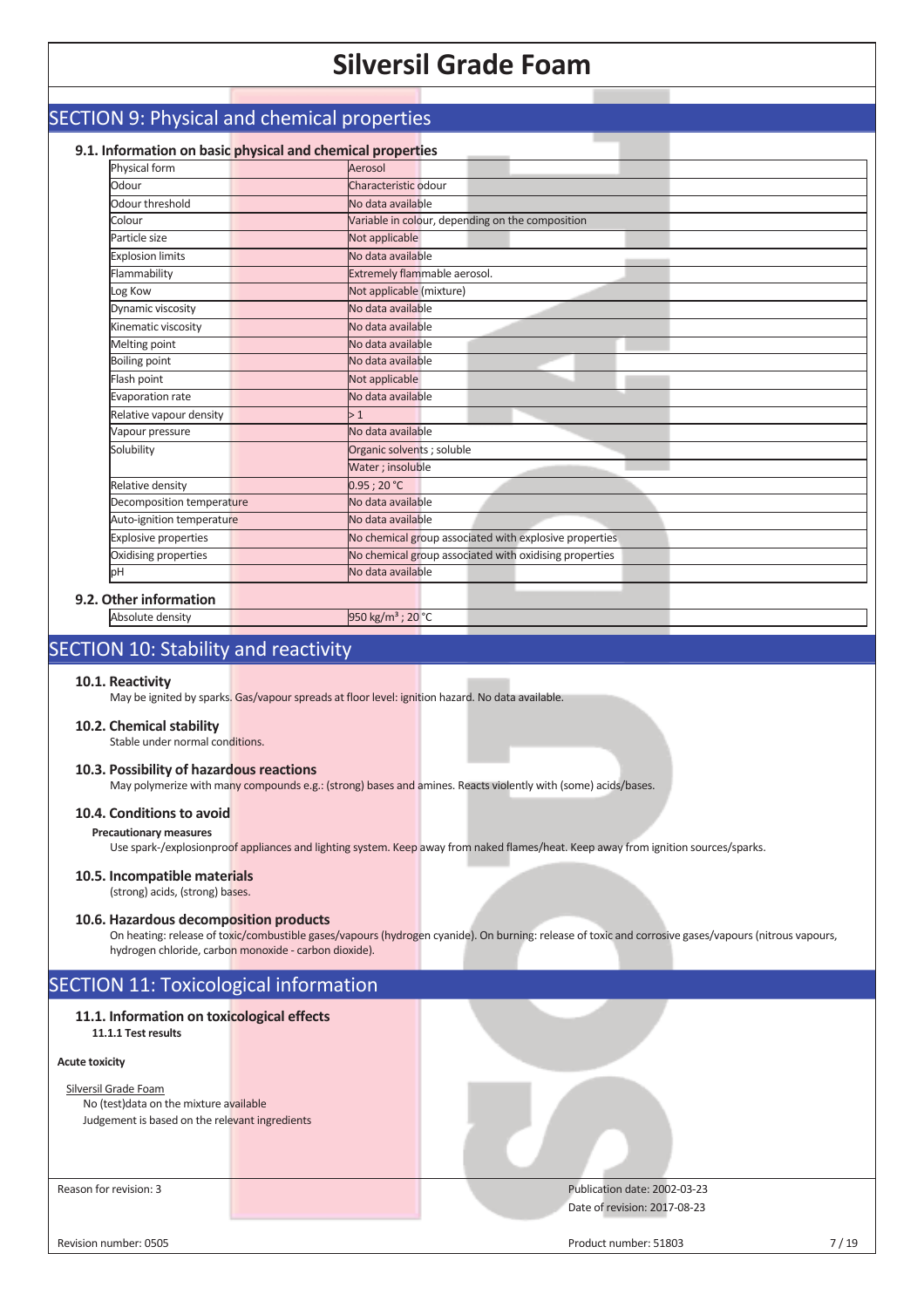| 9.1. Information on basic physical and chemical properties |                                                        |
|------------------------------------------------------------|--------------------------------------------------------|
| Physical form                                              | Aerosol                                                |
| Odour                                                      | Characteristic odour                                   |
| Odour threshold                                            | No data available                                      |
| Colour                                                     | Variable in colour, depending on the composition       |
| Particle size                                              | Not applicable                                         |
| <b>Explosion limits</b>                                    | No data available                                      |
| Flammability                                               | Extremely flammable aerosol.                           |
| Log Kow                                                    | Not applicable (mixture)                               |
| Dynamic viscosity                                          | No data available                                      |
| Kinematic viscosity                                        | No data available                                      |
| <b>Melting point</b>                                       | No data available                                      |
| <b>Boiling point</b>                                       | No data available                                      |
| Flash point                                                | Not applicable                                         |
| Evaporation rate                                           | No data available                                      |
| Relative vapour density                                    | >1                                                     |
| Vapour pressure                                            | No data available                                      |
| Solubility                                                 | Organic solvents ; soluble                             |
|                                                            | Water; insoluble                                       |
| Relative density                                           | 0.95; 20 °C                                            |
| Decomposition temperature                                  | No data available                                      |
| Auto-ignition temperature                                  | No data available                                      |
| <b>Explosive properties</b>                                | No chemical group associated with explosive properties |
| Oxidising properties                                       | No chemical group associated with oxidising properties |
| pН                                                         | No data available                                      |

## SECTION 10: Stability and reactivity

#### **10.1. Reactivity**

May be ignited by sparks. Gas/vapour spreads at floor level: ignition hazard. No data available.

#### **10.2. Chemical stability**

Stable under normal conditions.

## **10.3. Possibility of hazardous reactions**

May polymerize with many compounds e.g.: (strong) bases and amines. Reacts violently with (some) acids/bases.

## **10.4. Conditions to avoid**

#### **Precautionary measures**

Use spark-/explosionproof appliances and lighting system. Keep away from naked flames/heat. Keep away from ignition sources/sparks.

### **10.5. Incompatible materials**

### (strong) acids, (strong) bases.

### **10.6. Hazardous decomposition products**

On heating: release of toxic/combustible gases/vapours (hydrogen cyanide). On burning: release of toxic and corrosive gases/vapours (nitrous vapours, hydrogen chloride, carbon monoxide - carbon dioxide).

## SECTION 11: Toxicological information

## **11.1. Information on toxicological effects**

## **11.1.1 Test results**

## **Acute toxicity**

## Silversil Grade Foam

No (test)data on the mixture available Judgement is based on the relevant ingredients

Reason for revision: 3 Publication date: 2002-03-23 Date of revision: 2017-08-23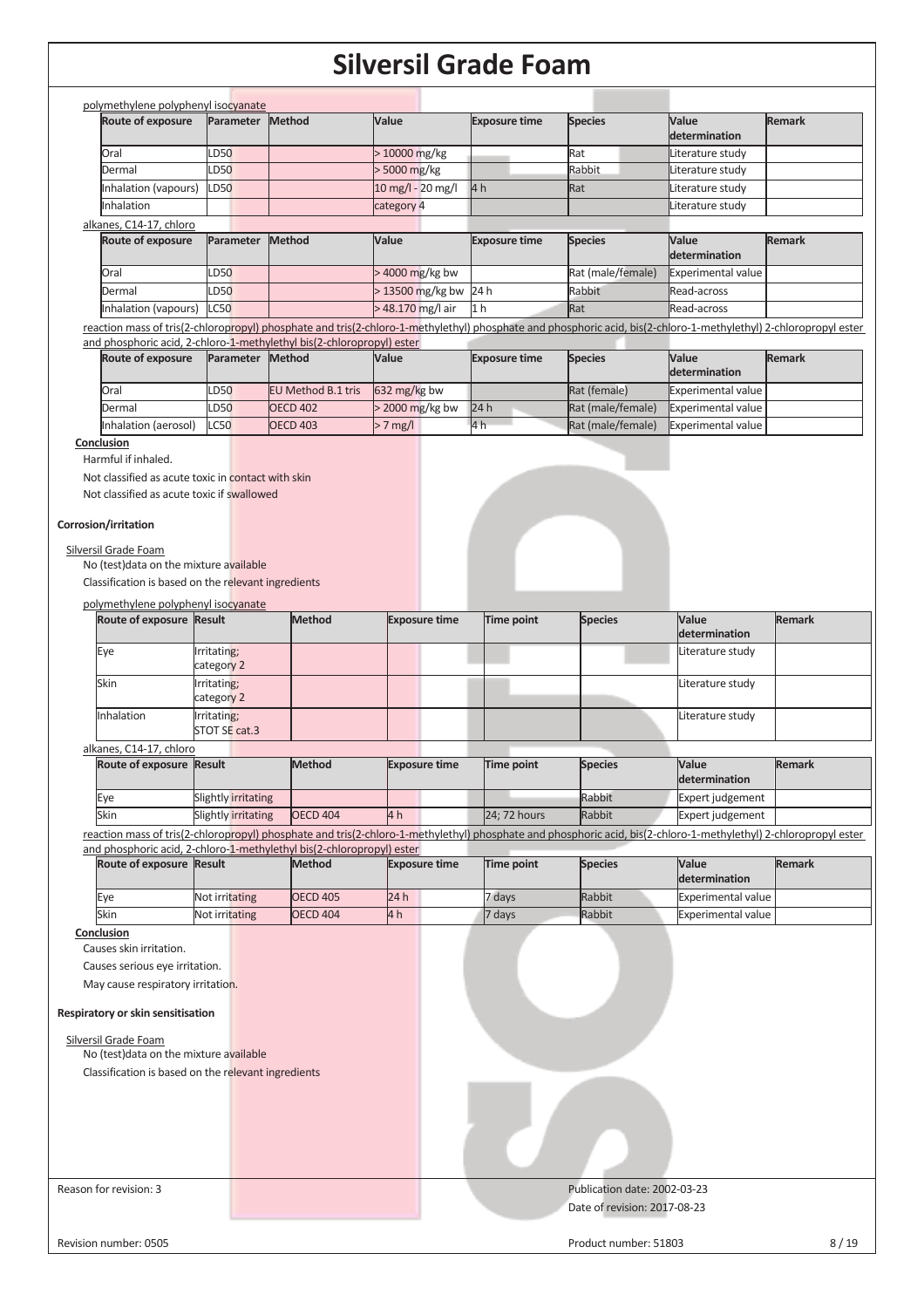|                                                                                                                                                |                              |                                                                                        |                      | JIIVUI JII YHUUU I VUIII |                                                                                                                                                                  |                           |               |
|------------------------------------------------------------------------------------------------------------------------------------------------|------------------------------|----------------------------------------------------------------------------------------|----------------------|--------------------------|------------------------------------------------------------------------------------------------------------------------------------------------------------------|---------------------------|---------------|
| polymethylene polyphenyl isocyanate                                                                                                            |                              |                                                                                        |                      |                          |                                                                                                                                                                  |                           |               |
| Route of exposure                                                                                                                              | Parameter                    | <b>Method</b>                                                                          | Value                | <b>Exposure time</b>     | <b>Species</b>                                                                                                                                                   | Value<br>determination    | <b>Remark</b> |
| Oral                                                                                                                                           | LD50                         |                                                                                        | > 10000 mg/kg        |                          | Rat                                                                                                                                                              | Literature study          |               |
| Dermal                                                                                                                                         | LD50                         |                                                                                        | > 5000 mg/kg         |                          | Rabbit                                                                                                                                                           | Literature study          |               |
| Inhalation (vapours)                                                                                                                           | <b>LD50</b>                  |                                                                                        | 10 mg/l - 20 mg/l    | 4 <sub>h</sub>           | Rat                                                                                                                                                              | Literature study          |               |
| Inhalation                                                                                                                                     |                              |                                                                                        | category 4           |                          |                                                                                                                                                                  | Literature study          |               |
| alkanes, C14-17, chloro                                                                                                                        |                              |                                                                                        |                      |                          |                                                                                                                                                                  |                           |               |
| Route of exposure                                                                                                                              | Parameter                    | Method                                                                                 | Value                | <b>Exposure time</b>     | <b>Species</b>                                                                                                                                                   | Value<br>determination    | <b>Remark</b> |
| Oral                                                                                                                                           | LD50                         |                                                                                        | > 4000 mg/kg bw      |                          | Rat (male/female)                                                                                                                                                | Experimental value        |               |
| Dermal                                                                                                                                         | LD50                         |                                                                                        | >13500 mg/kg bw      | 24 h                     | Rabbit                                                                                                                                                           | Read-across               |               |
| Inhalation (vapours)                                                                                                                           | <b>LC50</b>                  |                                                                                        | > 48.170 mg/l air    | 1 <sub>h</sub>           | Rat                                                                                                                                                              | Read-across               |               |
|                                                                                                                                                |                              |                                                                                        |                      |                          | reaction mass of tris(2-chloropropyl) phosphate and tris(2-chloro-1-methylethyl) phosphate and phosphoric acid, bis(2-chloro-1-methylethyl) 2-chloropropyl ester |                           |               |
|                                                                                                                                                |                              | and phosphoric acid, 2-chloro-1-methylethyl bis(2-chloropropyl) ester                  |                      |                          |                                                                                                                                                                  |                           |               |
| Route of exposure                                                                                                                              | Parameter Method             |                                                                                        | Value                | <b>Exposure time</b>     | <b>Species</b>                                                                                                                                                   | Value<br>determination    | <b>Remark</b> |
| Oral                                                                                                                                           | LD50                         | EU Method B.1 tris                                                                     | 632 mg/kg bw         |                          | Rat (female)                                                                                                                                                     | <b>Experimental value</b> |               |
| Dermal                                                                                                                                         | LD50                         | <b>OECD 402</b>                                                                        | > 2000 mg/kg bw      | 24h                      | Rat (male/female)                                                                                                                                                | Experimental value        |               |
| Inhalation (aerosol)                                                                                                                           | C50                          | <b>OECD 403</b>                                                                        | $> 7$ mg/l           | 4 h                      | Rat (male/female)                                                                                                                                                | <b>Experimental value</b> |               |
| Corrosion/irritation<br>Silversil Grade Foam<br>No (test) data on the mixture available<br>Classification is based on the relevant ingredients |                              |                                                                                        |                      |                          |                                                                                                                                                                  |                           |               |
| polymethylene polyphenyl isocyanate                                                                                                            |                              |                                                                                        |                      |                          |                                                                                                                                                                  |                           |               |
| Route of exposure Result                                                                                                                       |                              | <b>Method</b>                                                                          | <b>Exposure time</b> | Time point               | <b>Species</b>                                                                                                                                                   | Value<br>determination    | <b>Remark</b> |
| Eye                                                                                                                                            | Irritating;<br>category 2    |                                                                                        |                      |                          |                                                                                                                                                                  | Literature study          |               |
| Skin                                                                                                                                           | Irritating;                  |                                                                                        |                      |                          |                                                                                                                                                                  | Literature study          |               |
|                                                                                                                                                | category 2                   |                                                                                        |                      |                          |                                                                                                                                                                  |                           |               |
| Inhalation                                                                                                                                     | Irritating;<br>STOT SE cat.3 |                                                                                        |                      |                          |                                                                                                                                                                  | Literature study          |               |
| alkanes, C14-17, chloro                                                                                                                        |                              |                                                                                        |                      |                          |                                                                                                                                                                  |                           |               |
| Route of exposure Result                                                                                                                       |                              | <b>Method</b>                                                                          | <b>Exposure time</b> | Time point               | <b>Species</b>                                                                                                                                                   | Value<br>determination    | <b>Remark</b> |
| Eye                                                                                                                                            | Slightly irritating          |                                                                                        |                      |                          | Rabbit                                                                                                                                                           | Expert judgement          |               |
| Skin                                                                                                                                           | Slightly irritating          | <b>OECD 404</b>                                                                        | 4h                   | 24; 72 hours             | Rabbit                                                                                                                                                           | Expert judgement          |               |
|                                                                                                                                                |                              |                                                                                        |                      |                          | reaction mass of tris(2-chloropropyl) phosphate and tris(2-chloro-1-methylethyl) phosphate and phosphoric acid, bis(2-chloro-1-methylethyl) 2-chloropropyl ester |                           |               |
| Route of exposure Result                                                                                                                       |                              | and phosphoric acid, 2-chloro-1-methylethyl bis(2-chloropropyl) ester<br><b>Method</b> | <b>Exposure time</b> | <b>Time point</b>        | <b>Species</b>                                                                                                                                                   | Value<br>determination    | <b>Remark</b> |
| Eye                                                                                                                                            | Not irritating               | <b>OECD 405</b>                                                                        | 24h                  | 7 days                   | Rabbit                                                                                                                                                           | <b>Experimental value</b> |               |
| Skin                                                                                                                                           | Not irritating               | <b>OECD 404</b>                                                                        | 4 <sub>h</sub>       | 7 days                   | Rabbit                                                                                                                                                           | <b>Experimental value</b> |               |
| Conclusion                                                                                                                                     |                              |                                                                                        |                      |                          |                                                                                                                                                                  |                           |               |
| Causes skin irritation.                                                                                                                        |                              |                                                                                        |                      |                          |                                                                                                                                                                  |                           |               |
| Causes serious eye irritation.                                                                                                                 |                              |                                                                                        |                      |                          |                                                                                                                                                                  |                           |               |
| May cause respiratory irritation.                                                                                                              |                              |                                                                                        |                      |                          |                                                                                                                                                                  |                           |               |
| Respiratory or skin sensitisation                                                                                                              |                              |                                                                                        |                      |                          |                                                                                                                                                                  |                           |               |
| Silversil Grade Foam                                                                                                                           |                              |                                                                                        |                      |                          |                                                                                                                                                                  |                           |               |
| No (test) data on the mixture available                                                                                                        |                              |                                                                                        |                      |                          |                                                                                                                                                                  |                           |               |
| Classification is based on the relevant ingredients                                                                                            |                              |                                                                                        |                      |                          |                                                                                                                                                                  |                           |               |
|                                                                                                                                                |                              |                                                                                        |                      |                          |                                                                                                                                                                  |                           |               |
| Reason for revision: 3                                                                                                                         |                              |                                                                                        |                      |                          | Publication date: 2002-03-23                                                                                                                                     |                           |               |
|                                                                                                                                                |                              |                                                                                        |                      |                          | Date of revision: 2017-08-23                                                                                                                                     |                           |               |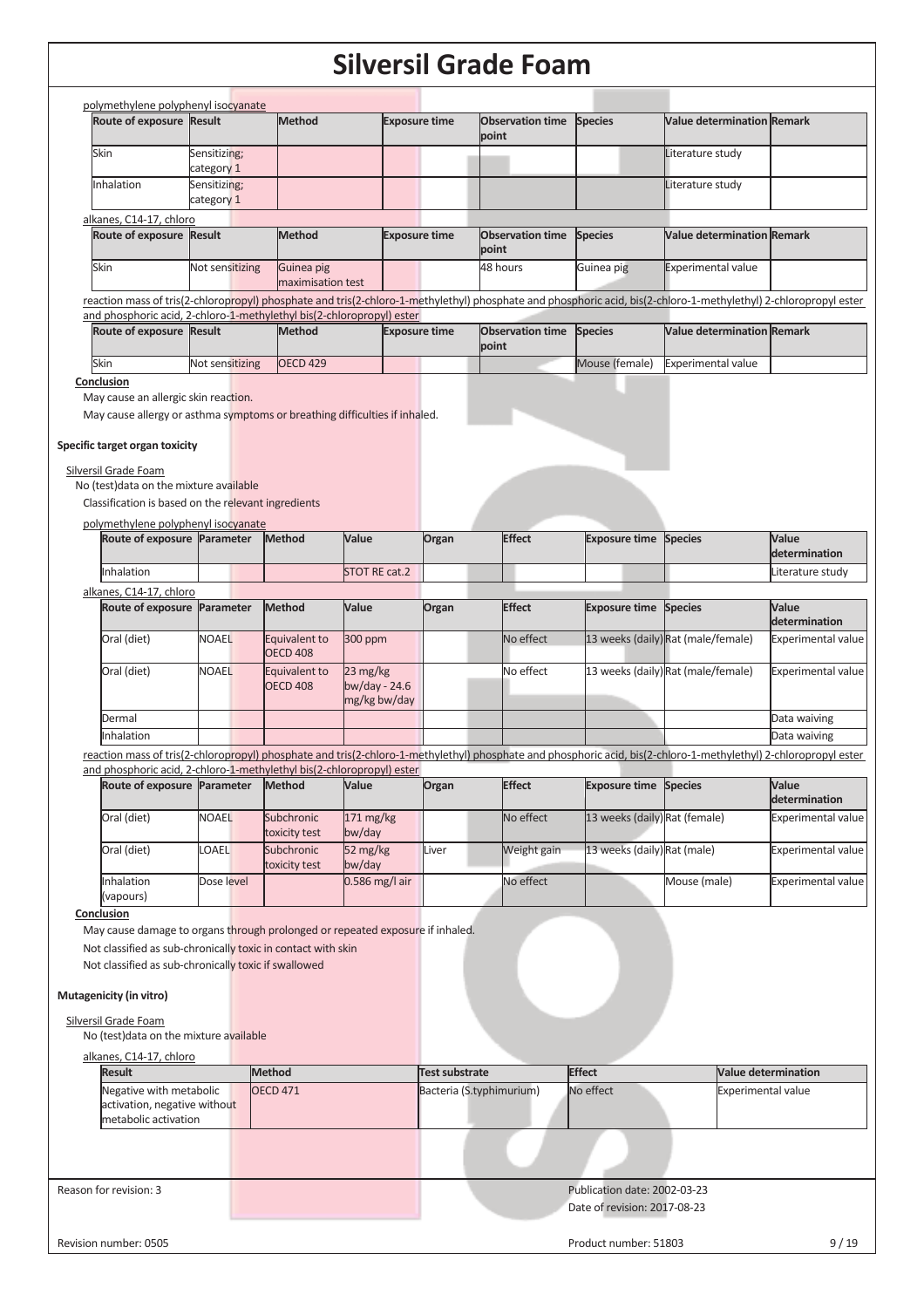|                                                                                                                                                                                                                                                                                                                                              |                            |               |                                  |                                                       |                      | Siiversii Graue Foain            |                                                              |                                                                                                                                                                  |                               |
|----------------------------------------------------------------------------------------------------------------------------------------------------------------------------------------------------------------------------------------------------------------------------------------------------------------------------------------------|----------------------------|---------------|----------------------------------|-------------------------------------------------------|----------------------|----------------------------------|--------------------------------------------------------------|------------------------------------------------------------------------------------------------------------------------------------------------------------------|-------------------------------|
| polymethylene polyphenyl isocyanate                                                                                                                                                                                                                                                                                                          |                            |               |                                  |                                                       |                      |                                  |                                                              |                                                                                                                                                                  |                               |
| Route of exposure Result                                                                                                                                                                                                                                                                                                                     |                            |               | <b>Method</b>                    |                                                       | <b>Exposure time</b> | <b>Observation time</b><br>point | <b>Species</b>                                               | <b>Value determination Remark</b>                                                                                                                                |                               |
| Skin                                                                                                                                                                                                                                                                                                                                         | Sensitizing;               |               |                                  |                                                       |                      |                                  |                                                              | Literature study                                                                                                                                                 |                               |
| Inhalation                                                                                                                                                                                                                                                                                                                                   | category 1<br>Sensitizing; |               |                                  |                                                       |                      |                                  |                                                              | Literature study                                                                                                                                                 |                               |
|                                                                                                                                                                                                                                                                                                                                              | category 1                 |               |                                  |                                                       |                      |                                  |                                                              |                                                                                                                                                                  |                               |
| alkanes, C14-17, chloro                                                                                                                                                                                                                                                                                                                      |                            |               |                                  |                                                       |                      |                                  |                                                              |                                                                                                                                                                  |                               |
| Route of exposure Result                                                                                                                                                                                                                                                                                                                     |                            |               | <b>Method</b>                    |                                                       | <b>Exposure time</b> | <b>Observation time</b><br>point | <b>Species</b>                                               | Value determination Remark                                                                                                                                       |                               |
| Skin                                                                                                                                                                                                                                                                                                                                         | Not sensitizing            |               | Guinea pig<br>maximisation test  |                                                       |                      | 48 hours                         | Guinea pig                                                   | <b>Experimental value</b>                                                                                                                                        |                               |
| and phosphoric acid, 2-chloro-1-methylethyl bis(2-chloropropyl) ester                                                                                                                                                                                                                                                                        |                            |               |                                  |                                                       |                      |                                  |                                                              | reaction mass of tris(2-chloropropyl) phosphate and tris(2-chloro-1-methylethyl) phosphate and phosphoric acid, bis(2-chloro-1-methylethyl) 2-chloropropyl ester |                               |
| Route of exposure Result                                                                                                                                                                                                                                                                                                                     |                            |               | <b>Method</b>                    |                                                       | <b>Exposure time</b> | <b>Observation time</b><br>point | <b>Species</b>                                               | <b>Value determination Remark</b>                                                                                                                                |                               |
| Skin                                                                                                                                                                                                                                                                                                                                         | Not sensitizing            |               | <b>OECD 429</b>                  |                                                       |                      |                                  | Mouse (female)                                               | <b>Experimental value</b>                                                                                                                                        |                               |
| Conclusion<br>May cause an allergic skin reaction.<br>May cause allergy or asthma symptoms or breathing difficulties if inhaled.<br>Specific target organ toxicity<br>Silversil Grade Foam                                                                                                                                                   |                            |               |                                  |                                                       |                      |                                  |                                                              |                                                                                                                                                                  |                               |
| No (test) data on the mixture available<br>Classification is based on the relevant ingredients                                                                                                                                                                                                                                               |                            |               |                                  |                                                       |                      |                                  |                                                              |                                                                                                                                                                  |                               |
| polymethylene polyphenyl isocyanate<br>Route of exposure Parameter                                                                                                                                                                                                                                                                           |                            |               | Method                           | Value                                                 | Organ                | <b>Effect</b>                    | <b>Exposure time Species</b>                                 |                                                                                                                                                                  | <b>Value</b><br>determination |
| Inhalation                                                                                                                                                                                                                                                                                                                                   |                            |               |                                  | <b>STOT RE cat.2</b>                                  |                      |                                  |                                                              |                                                                                                                                                                  | Literature study              |
| alkanes, C14-17, chloro                                                                                                                                                                                                                                                                                                                      |                            |               |                                  |                                                       |                      |                                  |                                                              |                                                                                                                                                                  |                               |
| Route of exposure Parameter                                                                                                                                                                                                                                                                                                                  |                            |               | Method                           | Value                                                 | Organ                | <b>Effect</b>                    | <b>Exposure time</b>                                         | <b>Species</b>                                                                                                                                                   | Value<br>determination        |
| Oral (diet)                                                                                                                                                                                                                                                                                                                                  | <b>NOAEL</b>               |               | Equivalent to<br><b>OECD 408</b> | 300 ppm                                               |                      | No effect                        |                                                              | 13 weeks (daily) Rat (male/female)                                                                                                                               | <b>Experimental value</b>     |
| Oral (diet)                                                                                                                                                                                                                                                                                                                                  | <b>NOAEL</b>               |               | Equivalent to<br><b>OECD 408</b> | $23 \text{ mg/kg}$<br>bw/day - $24.6$<br>mg/kg bw/day |                      | No effect                        |                                                              | 13 weeks (daily) Rat (male/female)                                                                                                                               | <b>Experimental value</b>     |
| Dermal                                                                                                                                                                                                                                                                                                                                       |                            |               |                                  |                                                       |                      |                                  |                                                              |                                                                                                                                                                  | Data waiving                  |
| Inhalation                                                                                                                                                                                                                                                                                                                                   |                            |               |                                  |                                                       |                      |                                  |                                                              |                                                                                                                                                                  | Data waiving                  |
| and phosphoric acid, 2-chloro-1-methylethyl bis(2-chloropropyl) ester                                                                                                                                                                                                                                                                        |                            |               |                                  |                                                       |                      |                                  |                                                              | reaction mass of tris(2-chloropropyl) phosphate and tris(2-chloro-1-methylethyl) phosphate and phosphoric acid, bis(2-chloro-1-methylethyl) 2-chloropropyl ester |                               |
| Route of exposure Parameter                                                                                                                                                                                                                                                                                                                  |                            |               | <b>Method</b>                    | Value                                                 | Organ                | <b>Effect</b>                    | <b>Exposure time Species</b>                                 |                                                                                                                                                                  | Value<br>determination        |
| Oral (diet)                                                                                                                                                                                                                                                                                                                                  | <b>NOAEL</b>               |               | Subchronic<br>toxicity test      | 171 mg/kg<br>bw/day                                   |                      | No effect                        | 13 weeks (daily) Rat (female)                                |                                                                                                                                                                  | <b>Experimental value</b>     |
| Oral (diet)                                                                                                                                                                                                                                                                                                                                  | <b>LOAEL</b>               |               | Subchronic<br>toxicity test      | 52 mg/kg<br>bw/day                                    | Liver                | Weight gain                      | 13 weeks (daily) Rat (male)                                  |                                                                                                                                                                  | <b>Experimental value</b>     |
| Inhalation<br>(vapours)                                                                                                                                                                                                                                                                                                                      | Dose level                 |               |                                  | 0.586 mg/l air                                        |                      | No effect                        |                                                              | Mouse (male)                                                                                                                                                     | <b>Experimental value</b>     |
| Conclusion<br>May cause damage to organs through prolonged or repeated exposure if inhaled.<br>Not classified as sub-chronically toxic in contact with skin<br>Not classified as sub-chronically toxic if swallowed<br>Mutagenicity (in vitro)<br>Silversil Grade Foam<br>No (test) data on the mixture available<br>alkanes, C14-17, chloro |                            |               |                                  |                                                       |                      |                                  |                                                              |                                                                                                                                                                  |                               |
| <b>Result</b>                                                                                                                                                                                                                                                                                                                                |                            | <b>Method</b> |                                  |                                                       | Test substrate       |                                  | <b>Effect</b>                                                |                                                                                                                                                                  | <b>Value determination</b>    |
| Negative with metabolic<br>activation, negative without<br>metabolic activation                                                                                                                                                                                                                                                              |                            |               | <b>OECD 471</b>                  |                                                       |                      | Bacteria (S.typhimurium)         | No effect                                                    | Experimental value                                                                                                                                               |                               |
|                                                                                                                                                                                                                                                                                                                                              |                            |               |                                  |                                                       |                      |                                  |                                                              |                                                                                                                                                                  |                               |
| Reason for revision: 3                                                                                                                                                                                                                                                                                                                       |                            |               |                                  |                                                       |                      |                                  | Publication date: 2002-03-23<br>Date of revision: 2017-08-23 |                                                                                                                                                                  |                               |
| Revision number: 0505                                                                                                                                                                                                                                                                                                                        |                            |               |                                  |                                                       |                      |                                  | Product number: 51803                                        |                                                                                                                                                                  | 9/19                          |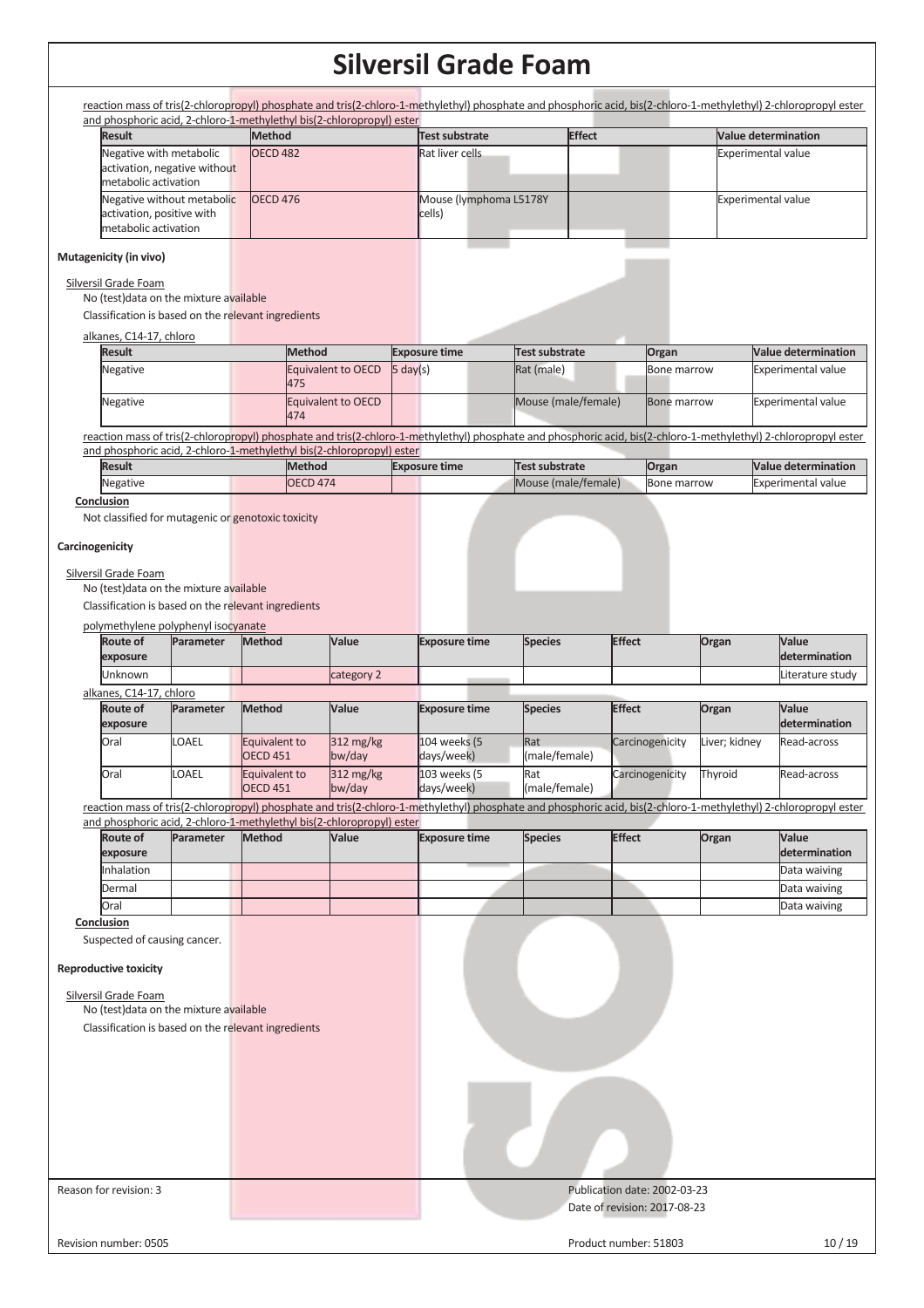reaction mass of tris(2-chloropropyl) phosphate and tris(2-chloro-1-methylethyl) phosphate and phosphoric acid, bis(2-chloro-1-methylethyl) 2-chloropropyl ester and phosphoric acid, 2-chloro-1-methylethyl bis(2-chloropropyl) ester **Result Method Test substrate Effect Value determination** Negative with metabolic activation, negative without metabolic activation OECD 482 **Rat liver cells Rat liver cells Experimental value** Negative without metabolic activation, positive with metabolic activation OECD 476 Mouse (lymphoma L5178Y cells) Experimental value **Mutagenicity (in vivo)**  Silversil Grade Foam No (test)data on the mixture available Classification is based on the relevant ingredients alkanes, C14-17, chloro **Result** Method **Exposure time Test substrate Organ** Value determination Negative **Equivalent to OECD** 475 5 day(s) Rat (male) Bone marrow Experimental value Negative Equivalent to OECD 474 Mouse (male/female) Bone marrow Experimental value reaction mass of tris(2-chloropropyl) phosphate and tris(2-chloro-1-methylethyl) phosphate and phosphoric acid, bis(2-chloro-1-methylethyl) 2-chloropropyl ester and phosphoric acid, 2-chloro-1-methylethyl bis(2-chloropropyl) ester **Result** Method **Exposure time Test substrate Organ** Value determination Negative **OECD 474** Mouse (male/female) Bone marrow Experimental value **Conclusion**  Not classified for mutagenic or genotoxic toxicity **Carcinogenicity**  Silversil Grade Foam No (test)data on the mixture available Classification is based on the relevant ingredients polymethylene polyphenyl isocyanate

| Route of<br>exposure    | <b>Parameter</b> | <b>Method</b>                    | Value                            | <b>Exposure time</b>       | <b>Species</b>       | <b>Effect</b>   | Organ         | Value<br>determination        |  |  |  |
|-------------------------|------------------|----------------------------------|----------------------------------|----------------------------|----------------------|-----------------|---------------|-------------------------------|--|--|--|
| <b>Unknown</b>          |                  |                                  | category 2                       |                            |                      |                 |               | Literature study              |  |  |  |
| alkanes, C14-17, chloro |                  |                                  |                                  |                            |                      |                 |               |                               |  |  |  |
| Route of<br>exposure    | Parameter        | <b>Method</b>                    | Value                            | <b>Exposure time</b>       | <b>Species</b>       | <b>Effect</b>   | Organ         | <b>Value</b><br>determination |  |  |  |
| Oral                    | <b>LOAEL</b>     | Equivalent to<br><b>OECD 451</b> | 312 mg/kg<br>$bw$ /day           | 104 weeks (5<br>days/week) | Rat<br>(male/female) | Carcinogenicity | Liver; kidney | Read-across                   |  |  |  |
| Oral                    | <b>LOAEL</b>     | Equivalent to<br><b>OECD 451</b> | $312 \text{ mg/kg}$<br>$bw$ /day | 103 weeks (5<br>days/week) | Rat<br>(male/female) | Carcinogenicity | Thyroid       | Read-across                   |  |  |  |

reaction mass of tris(2-chloropropyl) phosphate and tris(2-chloro-1-methylethyl) phosphate and phosphoric acid, bis(2-chloro-1-methylethyl) 2-chloropropyl ester and phosphoric acid, 2-chloro-1-methylethyl bis(2-chloropropyl) ester

| <b>Route of</b>   | Parameter | <b>Method</b> | <b>Value</b> | <b>Exposure time</b> | <b>Species</b> | <b>Effect</b> | Organ | <b>Value</b>  |
|-------------------|-----------|---------------|--------------|----------------------|----------------|---------------|-------|---------------|
| exposure          |           |               |              |                      |                |               |       | determination |
| <b>Inhalation</b> |           |               |              |                      |                |               |       | Data waiving  |
| Dermal            |           |               |              |                      |                |               |       | Data waiving  |
| <b>Oral</b>       |           |               |              |                      |                |               |       | Data waiving  |

**Conclusion** 

Suspected of causing cancer.

## **Reproductive toxicity**

| <b>INCRIPTION CONTRACTLY</b>                        |                              |       |
|-----------------------------------------------------|------------------------------|-------|
| Silversil Grade Foam                                |                              |       |
| No (test) data on the mixture available             |                              |       |
| Classification is based on the relevant ingredients |                              |       |
|                                                     |                              |       |
|                                                     |                              |       |
| Reason for revision: 3                              | Publication date: 2002-03-23 |       |
|                                                     | Date of revision: 2017-08-23 |       |
| Revision number: 0505                               | Product number: 51803        | 10/19 |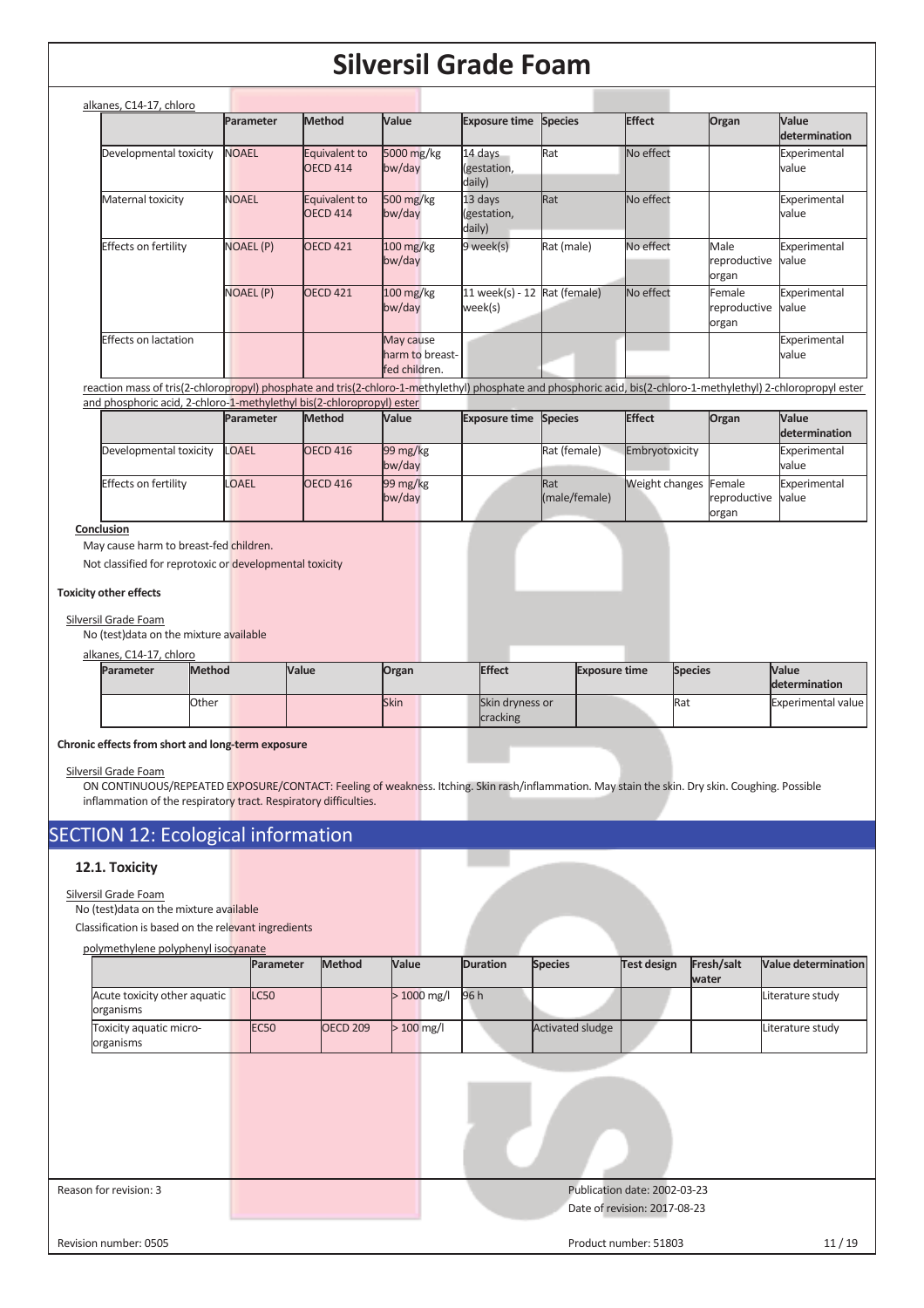| alkanes, C14-17, chloro     |                  |                                  |                                               |                                  |                |               |                                 |                               |
|-----------------------------|------------------|----------------------------------|-----------------------------------------------|----------------------------------|----------------|---------------|---------------------------------|-------------------------------|
|                             | Parameter        | <b>Method</b>                    | Value                                         | <b>Exposure time</b>             | <b>Species</b> | <b>Effect</b> | Organ                           | Value<br><b>determination</b> |
| Developmental toxicity      | <b>NOAEL</b>     | Equivalent to<br>OECD 414        | 5000 mg/kg<br>bw/day                          | 14 days<br>(gestation,<br>daily) | Rat            | No effect     |                                 | Experimental<br>value         |
| Maternal toxicity           | <b>NOAEL</b>     | Equivalent to<br><b>OECD 414</b> | $500 \frac{\text{mg}}{\text{kg}}$<br>bw/day   | 13 days<br>(gestation,<br>daily) | Rat            | No effect     |                                 | Experimental<br>value         |
| <b>Effects on fertility</b> | NOAEL (P)        | <b>OECD 421</b>                  | $100 \frac{\text{mg}}{\text{kg}}$<br>bw/day   | 9 week(s)                        | Rat (male)     | No effect     | Male<br>reproductive<br>organ   | Experimental<br>value         |
|                             | <b>NOAEL (P)</b> | <b>OECD 421</b>                  | $100 \frac{\text{mg}}{\text{kg}}$<br>bw/day   | 11 week(s) - 12<br>week(s)       | Rat (female)   | No effect     | Female<br>reproductive<br>organ | Experimental<br>value         |
| <b>Effects on lactation</b> |                  |                                  | May cause<br>harm to breast-<br>fed children. |                                  |                |               |                                 | Experimental<br>value         |

reaction mass of tris(2-chloropropyl) phosphate and tris(2-chloro-1-methylethyl) phosphate and phosphoric acid, bis(2-chloro-1-methylethyl) 2-chloropropyl ester and phosphoric acid, 2-chloro-1-methylethyl bis(2-chloropropyl) ester

|                             | Parameter    | <b>Method</b>   | Value                           | <b>Exposure time Species</b> |                             | <b>Effect</b>                | Organ                       | <b>Value</b>          |
|-----------------------------|--------------|-----------------|---------------------------------|------------------------------|-----------------------------|------------------------------|-----------------------------|-----------------------|
|                             |              |                 |                                 |                              |                             |                              |                             | <b>determination</b>  |
| Developmental toxicity      | LOAEL        | <b>OECD 416</b> | $99 \,\mathrm{mg/kg}$<br>bw/day |                              | Rat (female)                | Embryotoxicity               |                             | Experimental<br>value |
| <b>Effects on fertility</b> | <b>LOAEL</b> | <b>OECD 416</b> | $99 \,\mathrm{mg/kg}$<br>bw/day |                              | <b>Rat</b><br>(male/female) | <b>Weight changes Female</b> | reproductive value<br>organ | Experimental          |

#### **Conclusion**

May cause harm to breast-fed children.

Not classified for reprotoxic or developmental toxicity

### **Toxicity other effects**

## Silversil Grade Foam

No (test)data on the mixture available

### alkanes, C14-17, chloro

| <b>Parameter</b> | <b>Method</b> | Value | Organ       | <b>Effect</b>                      | <b>Exposure time</b> | <b>Species</b> | <b>Value</b><br>determination |
|------------------|---------------|-------|-------------|------------------------------------|----------------------|----------------|-------------------------------|
|                  | Other         |       | <b>Skin</b> | <b>Skin dryness or</b><br>cracking |                      | <b>R</b> aน    | Experimental value            |

#### **Chronic effects from short and long-term exposure**

Silversil Grade Foam

ON CONTINUOUS/REPEATED EXPOSURE/CONTACT: Feeling of weakness. Itching. Skin rash/inflammation. May stain the skin. Dry skin. Coughing. Possible inflammation of the respiratory tract. Respiratory difficulties.

## SECTION 12: Ecological information

## **12.1. Toxicity**

## Silversil Grade Foam

No (test)data on the mixture available

Classification is based on the relevant ingredients

#### polymethylene polyphenyl isocyanate

|                                           | <b>Parameter</b> | <b>Method</b>   | Value                   | <b>Duration</b> | <b>Species</b>          | Test design | Fresh/salt<br>water | <b>Value determination</b> |
|-------------------------------------------|------------------|-----------------|-------------------------|-----------------|-------------------------|-------------|---------------------|----------------------------|
| Acute toxicity other aquatic<br>organisms | LC50             |                 | $>1000 \,\mathrm{mg/l}$ | 96 h            |                         |             |                     | Literature study           |
| Toxicity aquatic micro-<br>organisms      | <b>EC50</b>      | <b>OECD 209</b> | $>100$ mg/l             |                 | <b>Activated sludge</b> |             |                     | Literature study           |

| Reason for revision: 3 | Publication date: 2002-03-23 |
|------------------------|------------------------------|
|                        | Date of revision: 2017-08-23 |
|                        |                              |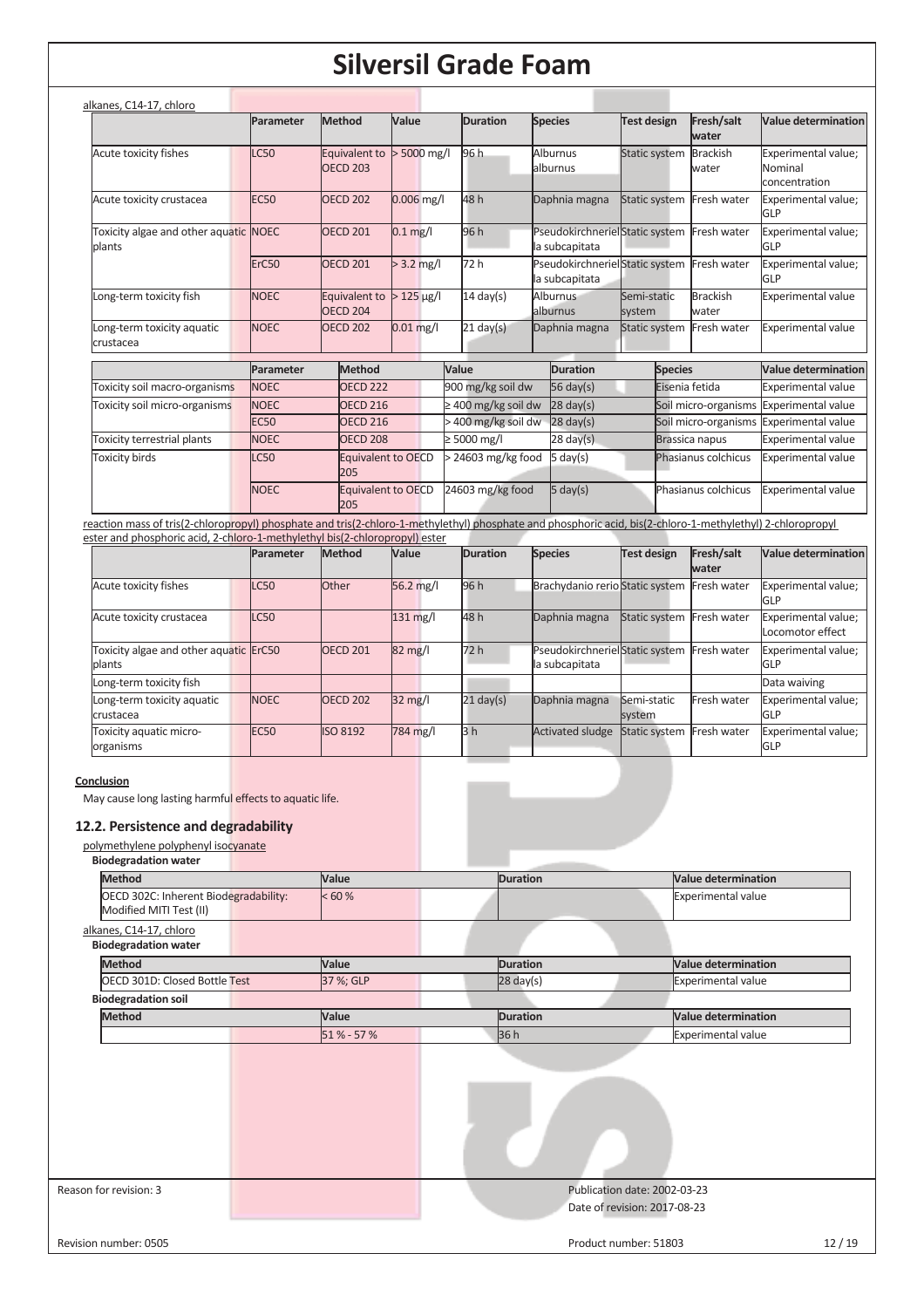|                                                                                                                                                                                                                                           | Parameter   | Method                           | Value          | <b>Duration</b>          | <b>Species</b>                                               | <b>Test design</b>    | Fresh/salt<br>water                        | <b>Value determination</b>                      |
|-------------------------------------------------------------------------------------------------------------------------------------------------------------------------------------------------------------------------------------------|-------------|----------------------------------|----------------|--------------------------|--------------------------------------------------------------|-----------------------|--------------------------------------------|-------------------------------------------------|
| Acute toxicity fishes                                                                                                                                                                                                                     | <b>LC50</b> | Equivalent to<br><b>OECD 203</b> | $> 5000$ mg/l  | 96 h                     | Alburnus<br>alburnus                                         | Static system         | <b>Brackish</b><br>water                   | Experimental value;<br>Nominal<br>concentration |
| Acute toxicity crustacea                                                                                                                                                                                                                  | <b>EC50</b> | <b>OECD 202</b>                  | $0.006$ mg/l   | 48 h                     | Daphnia magna                                                |                       | Static system Fresh water                  | Experimental value;<br>GLP                      |
| Toxicity algae and other aquatic NOEC<br>plants                                                                                                                                                                                           |             | <b>OECD 201</b>                  | $0.1$ mg/l     | 96 h                     | la subcapitata                                               |                       | PseudokirchnerielStatic system Fresh water | Experimental value;<br>GLP                      |
|                                                                                                                                                                                                                                           | ErC50       | OECD <sub>201</sub>              | $> 3.2$ mg/l   | 72 h                     | PseudokirchnerielStatic system Fresh water<br>la subcapitata |                       |                                            | Experimental value;<br>GLP                      |
| Long-term toxicity fish                                                                                                                                                                                                                   | <b>NOEC</b> | Equivalent to<br><b>OECD 204</b> | $>125 \mu g/l$ | $\overline{14}$ day(s)   | <b>Alburnus</b><br>alburnus                                  | Semi-static<br>system | <b>Brackish</b><br>water                   | <b>Experimental value</b>                       |
| Long-term toxicity aquatic<br>crustacea                                                                                                                                                                                                   | <b>NOEC</b> | <b>OECD 202</b>                  | $0.01$ mg/l    | $21$ day(s)              | Daphnia magna                                                |                       | Static system Fresh water                  | <b>Experimental value</b>                       |
|                                                                                                                                                                                                                                           | Parameter   | Method                           |                | Value                    | <b>Duration</b>                                              | <b>Species</b>        |                                            | <b>Value determination</b>                      |
| Toxicity soil macro-organisms                                                                                                                                                                                                             | <b>NOEC</b> | OECD <sub>222</sub>              |                | 900 mg/kg soil dw        | 56 day $(s)$                                                 |                       | Eisenia fetida                             | <b>Experimental value</b>                       |
| Toxicity soil micro-organisms                                                                                                                                                                                                             | <b>NOEC</b> | <b>OECD 216</b>                  |                | $\geq$ 400 mg/kg soil dw | $28$ day(s)                                                  |                       | Soil micro-organisms                       | <b>Experimental value</b>                       |
|                                                                                                                                                                                                                                           | <b>EC50</b> | <b>OECD 216</b>                  |                | > 400 mg/kg soil dw      | $28 \text{ day}(s)$                                          |                       | Soil micro-organisms                       | <b>Experimental value</b>                       |
| Toxicity terrestrial plants                                                                                                                                                                                                               | <b>NOEC</b> | OECD <sub>208</sub>              |                | $\geq 5000$ mg/l         | $28 \text{ day}(s)$                                          |                       | Brassica napus                             | <b>Experimental value</b>                       |
| <b>Toxicity birds</b>                                                                                                                                                                                                                     | <b>LC50</b> | Equivalent to OECD<br>205        |                | > 24603 mg/kg food       | 5 day(s)                                                     |                       | Phasianus colchicus                        | <b>Experimental value</b>                       |
|                                                                                                                                                                                                                                           | <b>NOEC</b> | Equivalent to OECD<br>205        |                | 24603 mg/kg food         | $5 \text{ day}(s)$                                           |                       | Phasianus colchicus                        | <b>Experimental value</b>                       |
| reaction mass of tris(2-chloropropyl) phosphate and tris(2-chloro-1-methylethyl) phosphate and phosphoric acid, bis(2-chloro-1-methylethyl) 2-chloropropyl<br>ester and phosphoric acid, 2-chloro-1-methylethyl bis(2-chloropropyl) ester |             |                                  |                |                          |                                                              |                       |                                            |                                                 |
|                                                                                                                                                                                                                                           | Parameter   | <b>Method</b>                    | <b>Value</b>   | <b>Duration</b>          | <b>Species</b>                                               | <b>Test design</b>    | Fresh/salt<br>water                        | <b>Value determination</b>                      |

|                                                  |                  |                 |                    |                |                                                  |                           | water       |                                         |
|--------------------------------------------------|------------------|-----------------|--------------------|----------------|--------------------------------------------------|---------------------------|-------------|-----------------------------------------|
| Acute toxicity fishes                            | LC50             | Other           | 56.2 mg/l          | 96 h           | Brachydanio rerio Static system Fresh water      |                           |             | Experimental value;<br><b>GLP</b>       |
| Acute toxicity crustacea                         | LC50             |                 | $131 \text{ mg/l}$ | 48 h           | Daphnia magna                                    | Static system Fresh water |             | Experimental value;<br>Locomotor effect |
| Toxicity algae and other aquatic ErC50<br>blants |                  | <b>OECD 201</b> | $82 \text{ mg}/l$  | 72 h           | PseudokirchnerielStatic system<br>la subcapitata |                           | Fresh water | Experimental value;<br><b>IGLP</b>      |
| Long-term toxicity fish                          |                  |                 |                    |                |                                                  |                           |             | Data waiving                            |
| Long-term toxicity aquatic<br>crustacea          | <b>NOEC</b>      | <b>OECD 202</b> | $32 \text{ mg}/l$  | $21$ day(s)    | Daphnia magna                                    | Semi-static<br>system     | Fresh water | Experimental value;<br><b>GLP</b>       |
| Toxicity aquatic micro-<br>organisms             | EC <sub>50</sub> | <b>ISO 8192</b> | 784 mg/l           | 3 <sub>h</sub> | <b>Activated sludge</b>                          | Static system Fresh water |             | Experimental value;<br><b>GLP</b>       |

## **Conclusion**

May cause long lasting harmful effects to aquatic life.

## **12.2. Persistence and degradability**

## polymethylene polyphenyl isocyanate

| <b>Biodegradation water</b>                                      |           |                 |                                                              |
|------------------------------------------------------------------|-----------|-----------------|--------------------------------------------------------------|
| <b>Method</b>                                                    | Value     | <b>Duration</b> | <b>Value determination</b>                                   |
| OECD 302C: Inherent Biodegradability:<br>Modified MITI Test (II) | < 60 %    |                 | <b>Experimental value</b>                                    |
| alkanes, C14-17, chloro<br><b>Biodegradation water</b>           |           |                 |                                                              |
| <b>Method</b>                                                    | Value     | <b>Duration</b> | <b>Value determination</b>                                   |
| OECD 301D: Closed Bottle Test                                    | 37 %; GLP | $28$ day(s)     | Experimental value                                           |
| <b>Biodegradation soil</b>                                       |           |                 |                                                              |
| <b>Method</b>                                                    | Value     | <b>Duration</b> | Value determination                                          |
|                                                                  | 51% - 57% | 36h             | <b>Experimental value</b>                                    |
|                                                                  |           |                 |                                                              |
| Reason for revision: 3                                           |           |                 | Publication date: 2002-03-23<br>Date of revision: 2017-08-23 |
| Revision number: 0505                                            |           |                 | 12/19<br>Product number: 51803                               |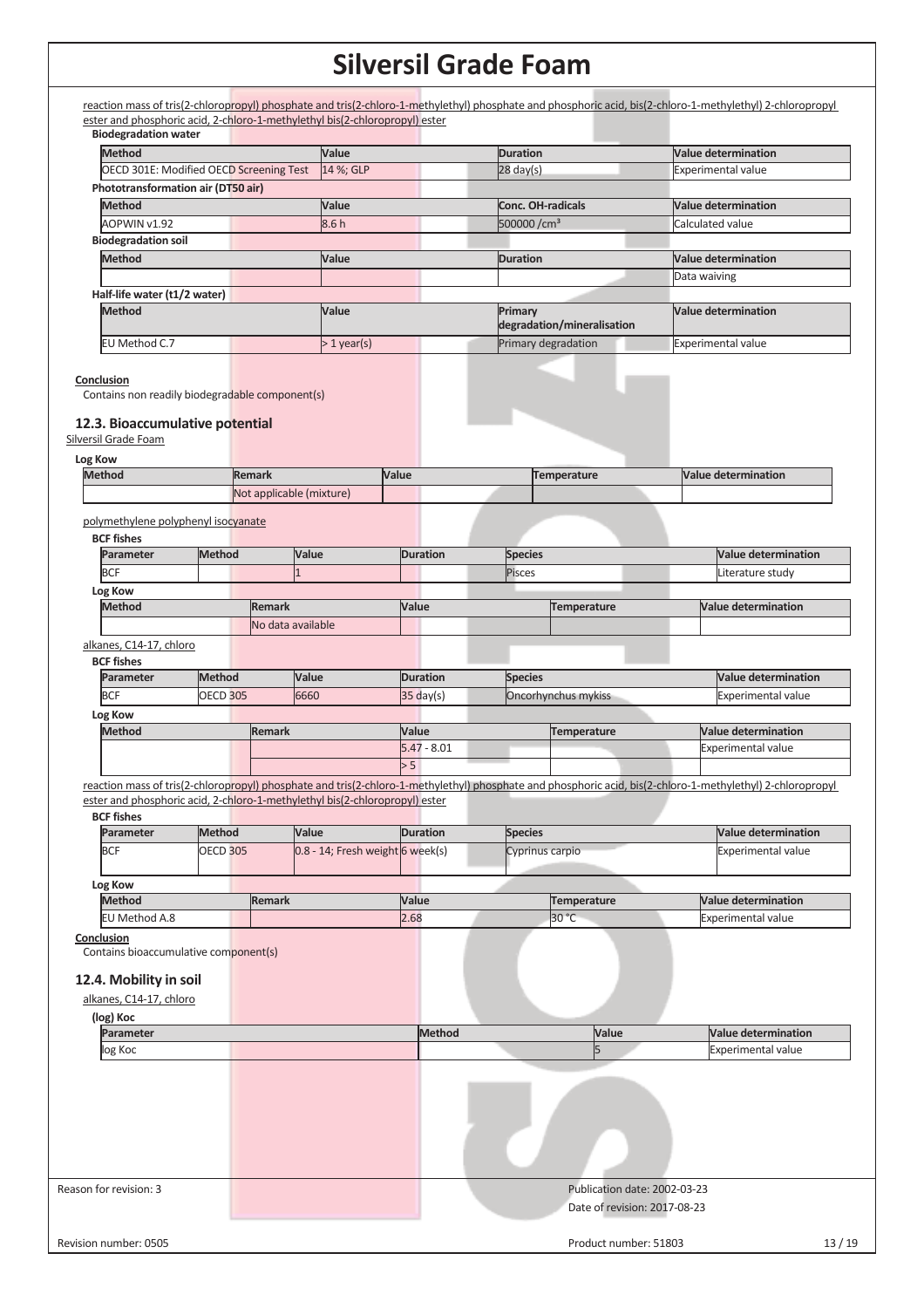| <b>Biodegradation water</b>                                                                                              |                 |               |                                                                             |                      |               |                          |                              |              |                                                                                                                                                            |
|--------------------------------------------------------------------------------------------------------------------------|-----------------|---------------|-----------------------------------------------------------------------------|----------------------|---------------|--------------------------|------------------------------|--------------|------------------------------------------------------------------------------------------------------------------------------------------------------------|
| <b>Method</b>                                                                                                            |                 |               | Value                                                                       |                      |               | <b>Duration</b>          |                              |              | <b>Value determination</b>                                                                                                                                 |
| <b>OECD 301E: Modified OECD Screening Test</b>                                                                           |                 |               | 14 %; GLP                                                                   |                      |               | $28 \text{ day(s)}$      |                              |              | Experimental value                                                                                                                                         |
| Phototransformation air (DT50 air)                                                                                       |                 |               |                                                                             |                      |               |                          |                              |              |                                                                                                                                                            |
| <b>Method</b>                                                                                                            |                 |               | Value                                                                       |                      |               | <b>Conc. OH-radicals</b> |                              |              | <b>Value determination</b>                                                                                                                                 |
| AOPWIN v1.92<br><b>Biodegradation soil</b>                                                                               |                 |               | 8.6h                                                                        |                      |               | 500000/cm <sup>3</sup>   |                              |              | Calculated value                                                                                                                                           |
| <b>Method</b>                                                                                                            |                 |               |                                                                             |                      |               |                          |                              |              | <b>Value determination</b>                                                                                                                                 |
|                                                                                                                          |                 |               | Value                                                                       |                      |               | <b>Duration</b>          |                              |              |                                                                                                                                                            |
| Half-life water (t1/2 water)                                                                                             |                 |               |                                                                             |                      |               |                          |                              | Data waiving |                                                                                                                                                            |
| <b>Method</b>                                                                                                            |                 |               | Value                                                                       |                      |               | Primary                  |                              |              | <b>Value determination</b>                                                                                                                                 |
|                                                                                                                          |                 |               |                                                                             |                      |               |                          | degradation/mineralisation   |              |                                                                                                                                                            |
| EU Method C.7                                                                                                            |                 |               | $>1$ year(s)                                                                |                      |               |                          | Primary degradation          |              | <b>Experimental value</b>                                                                                                                                  |
| Conclusion<br>Contains non readily biodegradable component(s)<br>12.3. Bioaccumulative potential<br>Silversil Grade Foam |                 |               |                                                                             |                      |               |                          |                              |              |                                                                                                                                                            |
|                                                                                                                          |                 |               |                                                                             |                      |               |                          |                              |              |                                                                                                                                                            |
| Log Kow<br><b>Method</b>                                                                                                 |                 | <b>Remark</b> |                                                                             | Value                |               |                          | <b>Temperature</b>           |              | <b>Value determination</b>                                                                                                                                 |
|                                                                                                                          |                 |               | Not applicable (mixture)                                                    |                      |               |                          |                              |              |                                                                                                                                                            |
|                                                                                                                          |                 |               |                                                                             |                      |               |                          |                              |              |                                                                                                                                                            |
| polymethylene polyphenyl isocyanate                                                                                      |                 |               |                                                                             |                      |               |                          |                              |              |                                                                                                                                                            |
| <b>BCF fishes</b>                                                                                                        |                 |               |                                                                             |                      |               |                          |                              |              |                                                                                                                                                            |
| Parameter                                                                                                                | <b>Method</b>   |               | Value                                                                       | <b>Duration</b>      |               | <b>Species</b>           |                              |              | <b>Value determination</b>                                                                                                                                 |
| <b>BCF</b>                                                                                                               |                 |               |                                                                             |                      |               | Pisces                   |                              |              | Literature study                                                                                                                                           |
| Log Kow                                                                                                                  |                 |               |                                                                             |                      |               |                          |                              |              |                                                                                                                                                            |
| <b>Method</b>                                                                                                            |                 | <b>Remark</b> |                                                                             | Value                |               |                          | <b>Temperature</b>           |              | <b>Value determination</b>                                                                                                                                 |
|                                                                                                                          |                 |               | No data available                                                           |                      |               |                          |                              |              |                                                                                                                                                            |
| alkanes, C14-17, chloro                                                                                                  |                 |               |                                                                             |                      |               |                          |                              |              |                                                                                                                                                            |
| <b>BCF fishes</b>                                                                                                        |                 |               |                                                                             |                      |               |                          |                              |              |                                                                                                                                                            |
| Parameter                                                                                                                | <b>Method</b>   |               | Value                                                                       | <b>Duration</b>      |               | <b>Species</b>           |                              |              | <b>Value determination</b>                                                                                                                                 |
| <b>BCF</b>                                                                                                               | <b>OECD 305</b> |               | 6660                                                                        | $35$ day(s)          |               |                          | Oncorhynchus mykiss          |              | <b>Experimental value</b>                                                                                                                                  |
| Log Kow                                                                                                                  |                 |               |                                                                             |                      |               |                          |                              |              |                                                                                                                                                            |
| <b>Method</b>                                                                                                            |                 | <b>Remark</b> |                                                                             | Value                |               |                          | <b>Temperature</b>           |              | <b>Value determination</b>                                                                                                                                 |
|                                                                                                                          |                 |               |                                                                             | $5.47 - 8.01$<br>> 5 |               |                          |                              |              | Experimental value                                                                                                                                         |
|                                                                                                                          |                 |               |                                                                             |                      |               |                          |                              |              |                                                                                                                                                            |
|                                                                                                                          |                 |               | ester and phosphoric acid, 2-chloro-1-methylethyl bis(2-chloropropyl) ester |                      |               |                          |                              |              | reaction mass of tris(2-chloropropyl) phosphate and tris(2-chloro-1-methylethyl) phosphate and phosphoric acid, bis(2-chloro-1-methylethyl) 2-chloropropyl |
| <b>BCF fishes</b>                                                                                                        |                 |               |                                                                             |                      |               |                          |                              |              |                                                                                                                                                            |
| Parameter                                                                                                                | <b>Method</b>   |               | Value                                                                       | <b>Duration</b>      |               | <b>Species</b>           |                              |              | <b>Value determination</b>                                                                                                                                 |
| <b>BCF</b>                                                                                                               | <b>OECD 305</b> |               | 0.8 - 14; Fresh weight 6 week(s)                                            |                      |               | Cyprinus carpio          |                              |              | <b>Experimental value</b>                                                                                                                                  |
|                                                                                                                          |                 |               |                                                                             |                      |               |                          |                              |              |                                                                                                                                                            |
| Log Kow                                                                                                                  |                 |               |                                                                             |                      |               |                          |                              |              |                                                                                                                                                            |
| <b>Method</b>                                                                                                            |                 | <b>Remark</b> |                                                                             | Value                |               |                          | <b>Temperature</b>           |              | <b>Value determination</b>                                                                                                                                 |
| EU Method A.8                                                                                                            |                 |               |                                                                             | 2.68                 |               |                          | 30 °C                        |              | Experimental value                                                                                                                                         |
| Conclusion                                                                                                               |                 |               |                                                                             |                      |               |                          |                              |              |                                                                                                                                                            |
| Contains bioaccumulative component(s)                                                                                    |                 |               |                                                                             |                      |               |                          |                              |              |                                                                                                                                                            |
| 12.4. Mobility in soil                                                                                                   |                 |               |                                                                             |                      |               |                          |                              |              |                                                                                                                                                            |
| alkanes, C14-17, chloro                                                                                                  |                 |               |                                                                             |                      |               |                          |                              |              |                                                                                                                                                            |
| (log) Koc                                                                                                                |                 |               |                                                                             |                      |               |                          |                              |              |                                                                                                                                                            |
| Parameter                                                                                                                |                 |               |                                                                             |                      | <b>Method</b> |                          | Value                        |              | <b>Value determination</b>                                                                                                                                 |
| log Koc                                                                                                                  |                 |               |                                                                             |                      |               |                          | 5                            |              | <b>Experimental value</b>                                                                                                                                  |
|                                                                                                                          |                 |               |                                                                             |                      |               |                          |                              |              |                                                                                                                                                            |
|                                                                                                                          |                 |               |                                                                             |                      |               |                          |                              |              |                                                                                                                                                            |
|                                                                                                                          |                 |               |                                                                             |                      |               |                          |                              |              |                                                                                                                                                            |
| Reason for revision: 3                                                                                                   |                 |               |                                                                             |                      |               |                          | Publication date: 2002-03-23 |              |                                                                                                                                                            |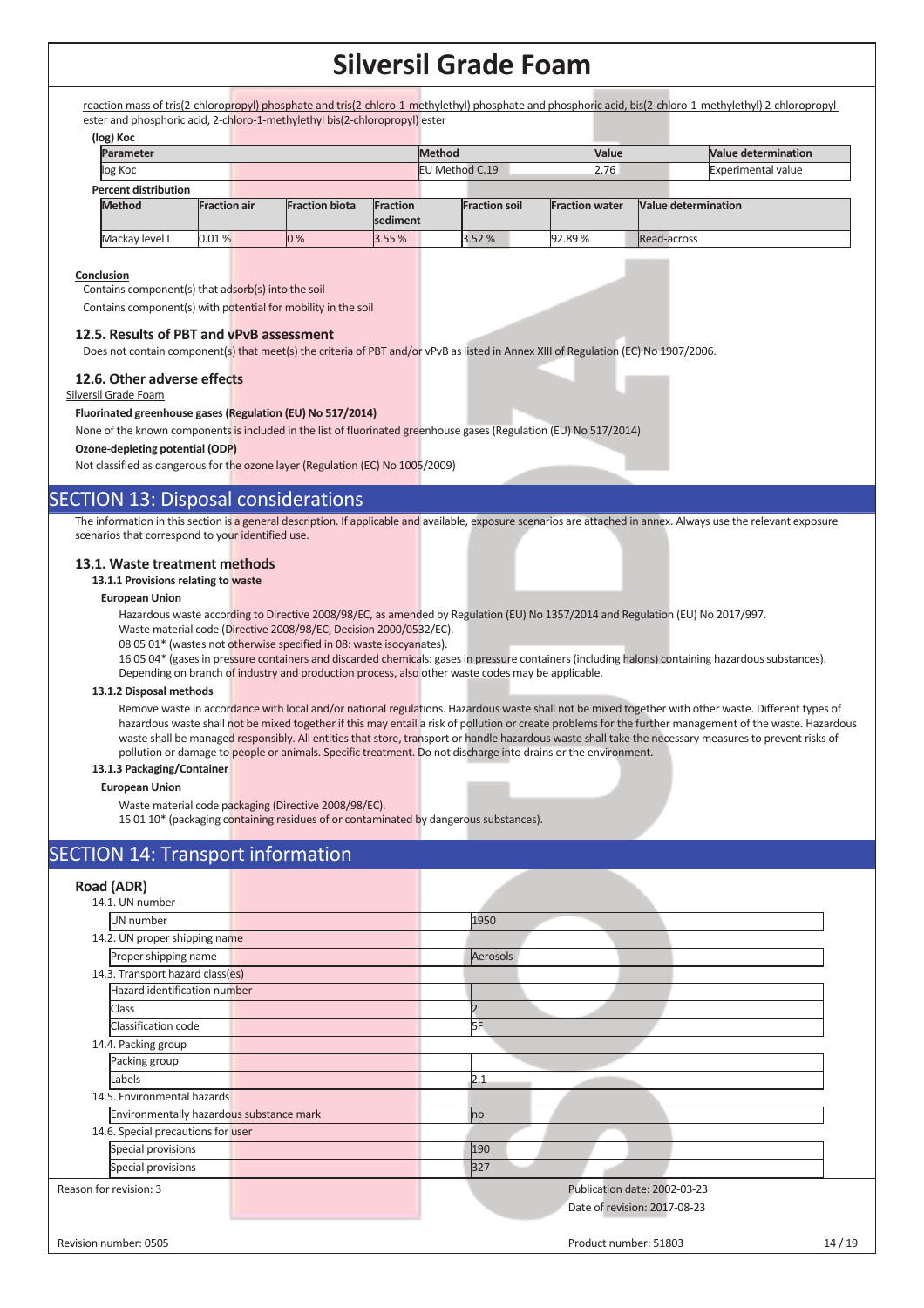reaction mass of tris(2-chloropropyl) phosphate and tris(2-chloro-1-methylethyl) phosphate and phosphoric acid, bis(2-chloro-1-methylethyl) 2-chloropropyl ester and phosphoric acid, 2-chloro-1-methylethyl bis(2-chloropropyl) ester

| (log) Koc                   |                     |                       |          |                        |                      |                       |      |                     |                            |
|-----------------------------|---------------------|-----------------------|----------|------------------------|----------------------|-----------------------|------|---------------------|----------------------------|
| Parameter                   |                     |                       |          | Method<br><b>Value</b> |                      |                       |      |                     | <b>Value determination</b> |
| log Koc                     |                     |                       |          | EU Method C.19         |                      |                       | 2.76 |                     | <b>Experimental value</b>  |
| <b>Percent distribution</b> |                     |                       |          |                        |                      |                       |      |                     |                            |
| <b>Method</b>               | <b>Fraction air</b> | <b>Fraction biota</b> | Fraction |                        | <b>Fraction soil</b> | <b>Fraction water</b> |      | Value determination |                            |
|                             |                     |                       | sediment |                        |                      |                       |      |                     |                            |
| Mackay level I              | 0.01%               | 0%                    | 3.55%    |                        | 3.52%                | 92.89%                |      | Read-across         |                            |

### **Conclusion**

Contains component(s) that adsorb(s) into the soil

Contains component(s) with potential for mobility in the soil

### **12.5. Results of PBT and vPvB assessment**

Does not contain component(s) that meet(s) the criteria of PBT and/or vPvB as listed in Annex XIII of Regulation (EC) No 1907/2006.

### **12.6. Other adverse effects**

Silversil Grade Foam

#### **Fluorinated greenhouse gases (Regulation (EU) No 517/2014)**

None of the known components is included in the list of fluorinated greenhouse gases (Regulation (EU) No 517/2014)

#### **Ozone-depleting potential (ODP)**

Not classified as dangerous for the ozone layer (Regulation (EC) No 1005/2009)

## SECTION 13: Disposal considerations

The information in this section is a general description. If applicable and available, exposure scenarios are attached in annex. Always use the relevant exposure scenarios that correspond to your identified use.

### **13.1. Waste treatment methods**

### **13.1.1 Provisions relating to waste**

### **European Union**

Hazardous waste according to Directive 2008/98/EC, as amended by Regulation (EU) No 1357/2014 and Regulation (EU) No 2017/997.

Waste material code (Directive 2008/98/EC, Decision 2000/0532/EC).

08 05 01\* (wastes not otherwise specified in 08: waste isocyanates).

16 05 04\* (gases in pressure containers and discarded chemicals: gases in pressure containers (including halons) containing hazardous substances). Depending on branch of industry and production process, also other waste codes may be applicable.

#### **13.1.2 Disposal methods**

Remove waste in accordance with local and/or national regulations. Hazardous waste shall not be mixed together with other waste. Different types of hazardous waste shall not be mixed together if this may entail a risk of pollution or create problems for the further management of the waste. Hazardous waste shall be managed responsibly. All entities that store, transport or handle hazardous waste shall take the necessary measures to prevent risks of pollution or damage to people or animals. Specific treatment. Do not discharge into drains or the environment.

### **13.1.3 Packaging/Container**

### **European Union**

Waste material code packaging (Directive 2008/98/EC).

15 01 10\* (packaging containing residues of or contaminated by dangerous substances).

## **SECTION 14: Transport information**

| Road (ADR)                               |                                                              |       |
|------------------------------------------|--------------------------------------------------------------|-------|
| 14.1. UN number                          |                                                              |       |
| UN number                                | 1950                                                         |       |
| 14.2. UN proper shipping name            |                                                              |       |
| Proper shipping name                     | Aerosols                                                     |       |
| 14.3. Transport hazard class(es)         |                                                              |       |
| Hazard identification number             |                                                              |       |
| Class                                    | $\overline{\phantom{a}}$                                     |       |
| Classification code                      | I <sub>5F</sub>                                              |       |
| 14.4. Packing group                      |                                                              |       |
| Packing group                            |                                                              |       |
| Labels                                   | 2.1                                                          |       |
| 14.5. Environmental hazards              |                                                              |       |
| Environmentally hazardous substance mark | no                                                           |       |
| 14.6. Special precautions for user       |                                                              |       |
| Special provisions                       | 190                                                          |       |
| Special provisions                       | 327                                                          |       |
| Reason for revision: 3                   | Publication date: 2002-03-23<br>Date of revision: 2017-08-23 |       |
| Revision number: 0505                    | Product number: 51803                                        | 14/19 |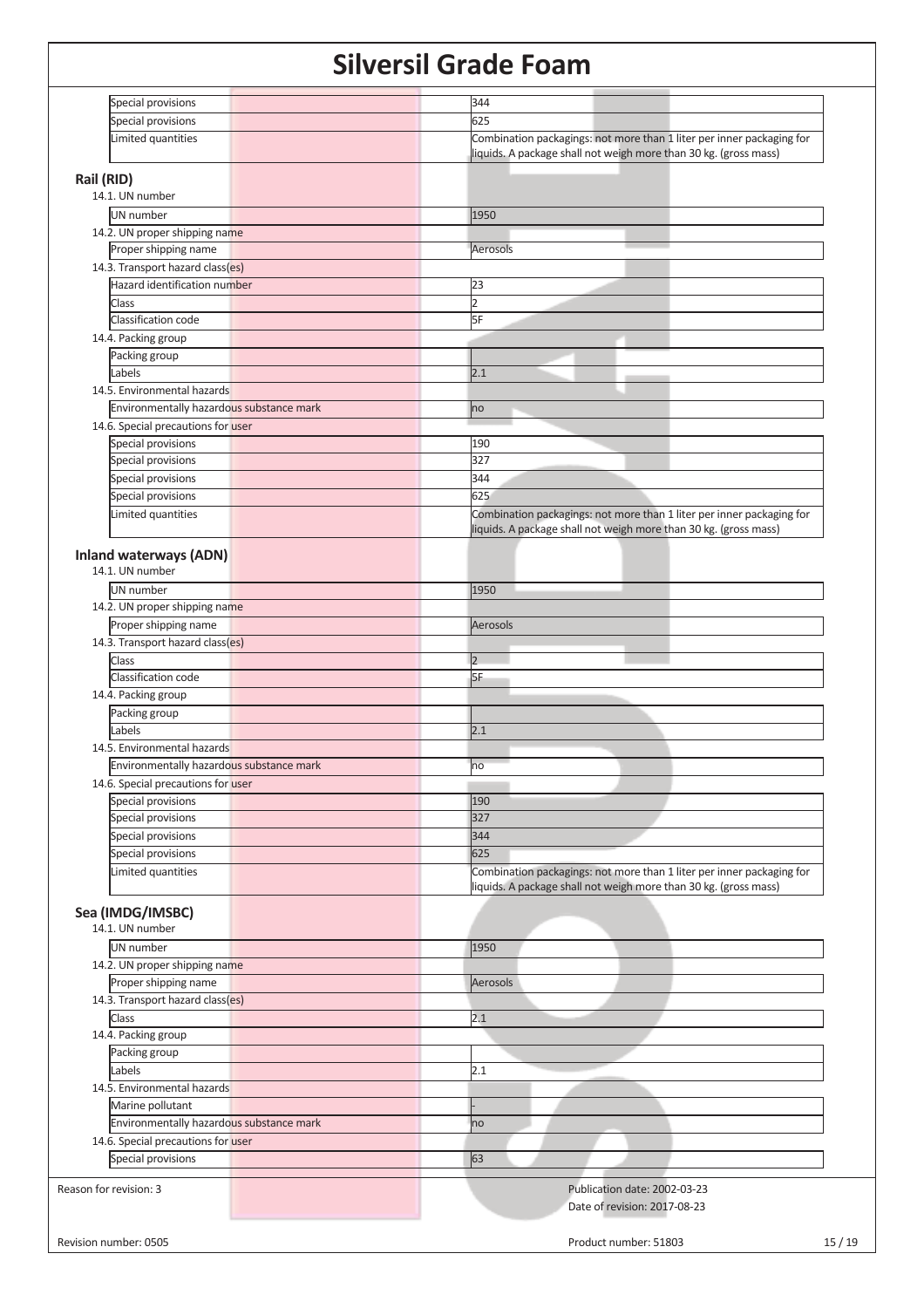| Special provisions                               | 344                                                                   |
|--------------------------------------------------|-----------------------------------------------------------------------|
| Special provisions                               | 625                                                                   |
| Limited quantities                               | Combination packagings: not more than 1 liter per inner packaging for |
|                                                  | liquids. A package shall not weigh more than 30 kg. (gross mass)      |
|                                                  |                                                                       |
| Rail (RID)                                       |                                                                       |
| 14.1. UN number                                  |                                                                       |
| <b>UN</b> number                                 | 1950                                                                  |
| 14.2. UN proper shipping name                    |                                                                       |
| Proper shipping name                             | Aerosols                                                              |
| 14.3. Transport hazard class(es)                 |                                                                       |
| Hazard identification number                     | 23                                                                    |
| <b>Class</b>                                     | $\overline{2}$                                                        |
| Classification code                              | 5F                                                                    |
|                                                  |                                                                       |
| 14.4. Packing group                              |                                                                       |
| Packing group                                    |                                                                       |
| Labels                                           | 2.1                                                                   |
| 14.5. Environmental hazards                      |                                                                       |
| Environmentally hazardous substance mark         | no                                                                    |
| 14.6. Special precautions for user               |                                                                       |
| Special provisions                               | 190                                                                   |
|                                                  | 327                                                                   |
| Special provisions                               |                                                                       |
| Special provisions                               | 344                                                                   |
| Special provisions                               | 625                                                                   |
| Limited quantities                               | Combination packagings: not more than 1 liter per inner packaging for |
|                                                  | liquids. A package shall not weigh more than 30 kg. (gross mass)      |
|                                                  |                                                                       |
| <b>Inland waterways (ADN)</b><br>14.1. UN number |                                                                       |
|                                                  |                                                                       |
| UN number                                        | 1950                                                                  |
| 14.2. UN proper shipping name                    |                                                                       |
| Proper shipping name                             | Aerosols                                                              |
| 14.3. Transport hazard class(es)                 |                                                                       |
| Class                                            | $\overline{2}$                                                        |
| Classification code                              | 5F                                                                    |
|                                                  |                                                                       |
| 14.4. Packing group                              |                                                                       |
| Packing group                                    |                                                                       |
| Labels                                           | 2.1                                                                   |
| 14.5. Environmental hazards                      |                                                                       |
| Environmentally hazardous substance mark         | no                                                                    |
| 14.6. Special precautions for user               |                                                                       |
| Special provisions                               | 190                                                                   |
| Special provisions                               | 327                                                                   |
| Special provisions                               | 344                                                                   |
|                                                  | 625                                                                   |
| Special provisions                               |                                                                       |
| Limited quantities                               | Combination packagings: not more than 1 liter per inner packaging for |
|                                                  | liquids. A package shall not weigh more than 30 kg. (gross mass)      |
| Sea (IMDG/IMSBC)                                 |                                                                       |
| 14.1. UN number                                  |                                                                       |
| UN number                                        | 1950                                                                  |
|                                                  |                                                                       |
| 14.2. UN proper shipping name                    |                                                                       |
| Proper shipping name                             | Aerosols                                                              |
| 14.3. Transport hazard class(es)                 |                                                                       |
| Class                                            | 2.1                                                                   |
| 14.4. Packing group                              |                                                                       |
| Packing group                                    |                                                                       |
| Labels                                           | 2.1                                                                   |
|                                                  |                                                                       |
| 14.5. Environmental hazards                      |                                                                       |
| Marine pollutant                                 |                                                                       |
| Environmentally hazardous substance mark         | no                                                                    |
| 14.6. Special precautions for user               |                                                                       |
| Special provisions                               | 63                                                                    |
|                                                  |                                                                       |
| Reason for revision: 3                           | Publication date: 2002-03-23                                          |
|                                                  | Date of revision: 2017-08-23                                          |
|                                                  |                                                                       |
| Revision number: 0505                            | 15/19<br>Product number: 51803                                        |
|                                                  |                                                                       |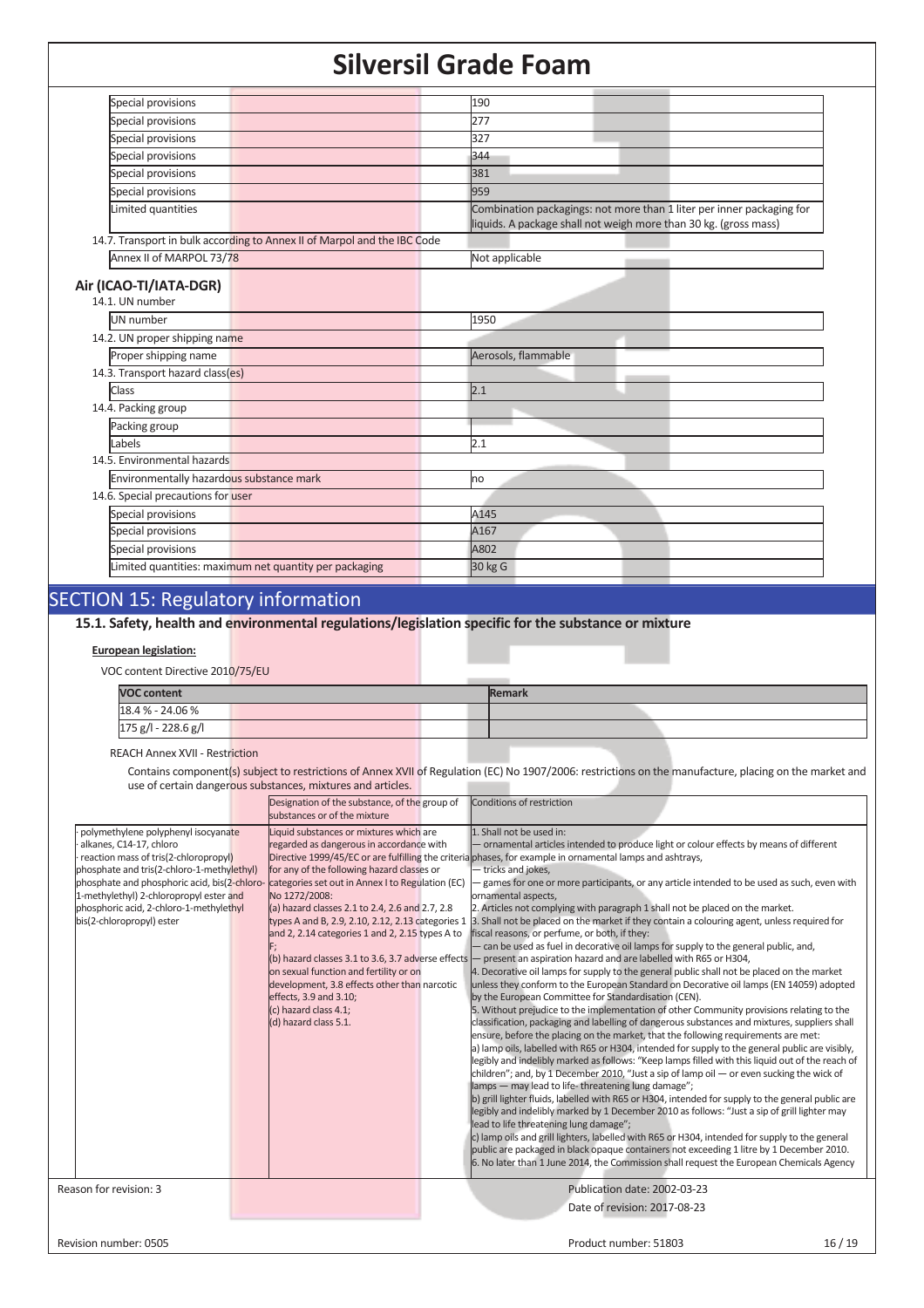| Special provisions                                                       | 190                                                                                                                                       |  |  |  |
|--------------------------------------------------------------------------|-------------------------------------------------------------------------------------------------------------------------------------------|--|--|--|
| Special provisions                                                       | 277                                                                                                                                       |  |  |  |
| Special provisions                                                       | 327                                                                                                                                       |  |  |  |
| Special provisions                                                       | 344                                                                                                                                       |  |  |  |
| Special provisions                                                       | 381                                                                                                                                       |  |  |  |
| Special provisions                                                       | 959                                                                                                                                       |  |  |  |
| Limited quantities                                                       | Combination packagings: not more than 1 liter per inner packaging for<br>liquids. A package shall not weigh more than 30 kg. (gross mass) |  |  |  |
| 14.7. Transport in bulk according to Annex II of Marpol and the IBC Code |                                                                                                                                           |  |  |  |
| Annex II of MARPOL 73/78                                                 | Not applicable                                                                                                                            |  |  |  |
| Air (ICAO-TI/IATA-DGR)<br>14.1. UN number                                |                                                                                                                                           |  |  |  |
| UN number                                                                | 1950                                                                                                                                      |  |  |  |
| 14.2. UN proper shipping name                                            |                                                                                                                                           |  |  |  |
| Proper shipping name                                                     | Aerosols, flammable                                                                                                                       |  |  |  |
| 14.3. Transport hazard class(es)                                         |                                                                                                                                           |  |  |  |
| <b>Class</b>                                                             | 2.1                                                                                                                                       |  |  |  |
| 14.4. Packing group                                                      |                                                                                                                                           |  |  |  |
| Packing group                                                            |                                                                                                                                           |  |  |  |
| Labels                                                                   | 2.1                                                                                                                                       |  |  |  |
| 14.5. Environmental hazards                                              |                                                                                                                                           |  |  |  |
| Environmentally hazardous substance mark                                 | no                                                                                                                                        |  |  |  |
| 14.6. Special precautions for user                                       |                                                                                                                                           |  |  |  |
| Special provisions                                                       | A145                                                                                                                                      |  |  |  |
| Special provisions                                                       | A167                                                                                                                                      |  |  |  |
| Special provisions                                                       | A802                                                                                                                                      |  |  |  |
| Limited quantities: maximum net quantity per packaging                   | 30 kg G                                                                                                                                   |  |  |  |
|                                                                          |                                                                                                                                           |  |  |  |

## SECTION 15: Regulatory information

## **15.1. Safety, health and environmental regulations/legislation specific for the substance or mixture**

#### **European legislation:**

VOC content Directive 2010/75/EU

| <b>VOC content</b>  |  |  | <b>Remark</b> |  |  |
|---------------------|--|--|---------------|--|--|
| 18.4 % - 24.06 %    |  |  |               |  |  |
| 175 g/l - 228.6 g/l |  |  |               |  |  |

### REACH Annex XVII - Restriction

Contains component(s) subject to restrictions of Annex XVII of Regulation (EC) No 1907/2006: restrictions on the manufacture, placing on the market and use of certain dangerous substances, mixtures and articles.

| polymethylene polyphenyl isocyanate                                                                                                                                                                                                                                               |                                                                                                                                                                                                                                                                                                                                                                                                                                                                                                                                         |                                                                                                                                                                                                                                                                                                                                                                                                                                                                                                                                                                                                                                                                                                                                                                                                                                                                                                                                                                                                                                                                                                                                                                                                                                                                                                                                                                                                                                                                                                                                                                                                                                                                                                                                                                                                                                                                                                                                                                                                                                                                                                                                                                                                                                                                        |
|-----------------------------------------------------------------------------------------------------------------------------------------------------------------------------------------------------------------------------------------------------------------------------------|-----------------------------------------------------------------------------------------------------------------------------------------------------------------------------------------------------------------------------------------------------------------------------------------------------------------------------------------------------------------------------------------------------------------------------------------------------------------------------------------------------------------------------------------|------------------------------------------------------------------------------------------------------------------------------------------------------------------------------------------------------------------------------------------------------------------------------------------------------------------------------------------------------------------------------------------------------------------------------------------------------------------------------------------------------------------------------------------------------------------------------------------------------------------------------------------------------------------------------------------------------------------------------------------------------------------------------------------------------------------------------------------------------------------------------------------------------------------------------------------------------------------------------------------------------------------------------------------------------------------------------------------------------------------------------------------------------------------------------------------------------------------------------------------------------------------------------------------------------------------------------------------------------------------------------------------------------------------------------------------------------------------------------------------------------------------------------------------------------------------------------------------------------------------------------------------------------------------------------------------------------------------------------------------------------------------------------------------------------------------------------------------------------------------------------------------------------------------------------------------------------------------------------------------------------------------------------------------------------------------------------------------------------------------------------------------------------------------------------------------------------------------------------------------------------------------------|
| alkanes, C14-17, chloro<br>reaction mass of tris(2-chloropropyl)<br>phosphate and tris(2-chloro-1-methylethyl)<br>phosphate and phosphoric acid, bis(2-chloro-<br>1-methylethyl) 2-chloropropyl ester and<br>phosphoric acid, 2-chloro-1-methylethyl<br>bis(2-chloropropyl) ester | Liquid substances or mixtures which are<br>regarded as dangerous in accordance with<br>for any of the following hazard classes or<br>categories set out in Annex I to Regulation (EC)<br>No 1272/2008:<br>(a) hazard classes 2.1 to 2.4, 2.6 and 2.7, 2.8<br>types A and B, 2.9, 2.10, 2.12, 2.13 categories 1<br>and 2, 2.14 categories 1 and 2, 2.15 types A to<br>on sexual function and fertility or on<br>development, 3.8 effects other than narcotic<br>effects, 3.9 and 3.10;<br>(c) hazard class 4.1;<br>(d) hazard class 5.1. | 1. Shall not be used in:<br>- ornamental articles intended to produce light or colour effects by means of different<br>Directive 1999/45/EC or are fulfilling the criterial phases, for example in ornamental lamps and ashtrays,<br>tricks and jokes,<br>games for one or more participants, or any article intended to be used as such, even with<br>ornamental aspects,<br>2. Articles not complying with paragraph 1 shall not be placed on the market.<br>3. Shall not be placed on the market if they contain a colouring agent, unless required for<br>fiscal reasons, or perfume, or both, if they:<br>- can be used as fuel in decorative oil lamps for supply to the general public, and,<br>(b) hazard classes 3.1 to 3.6, 3.7 adverse effects $-$ present an aspiration hazard and are labelled with R65 or H304,<br>4. Decorative oil lamps for supply to the general public shall not be placed on the market<br>unless they conform to the European Standard on Decorative oil lamps (EN 14059) adopted<br>by the European Committee for Standardisation (CEN).<br>5. Without prejudice to the implementation of other Community provisions relating to the<br>classification, packaging and labelling of dangerous substances and mixtures, suppliers shall<br>ensure, before the placing on the market, that the following requirements are met:<br>a) lamp oils, labelled with R65 or H304, intended for supply to the general public are visibly,<br>legibly and indelibly marked as follows: "Keep lamps filled with this liquid out of the reach of<br>children"; and, by 1 December 2010, "Just a sip of lamp oil $-$ or even sucking the wick of<br>lamps - may lead to life-threatening lung damage";<br>b) grill lighter fluids, labelled with R65 or H304, intended for supply to the general public are<br>legibly and indelibly marked by 1 December 2010 as follows: "Just a sip of grill lighter may<br>lead to life threatening lung damage";<br>c) lamp oils and grill lighters, labelled with R65 or H304, intended for supply to the general<br>public are packaged in black opaque containers not exceeding 1 litre by 1 December 2010.<br>6. No later than 1 June 2014, the Commission shall request the European Chemicals Agency |
| Reason for revision: 3                                                                                                                                                                                                                                                            |                                                                                                                                                                                                                                                                                                                                                                                                                                                                                                                                         | Publication date: 2002-03-23<br>Date of revision: 2017-08-23                                                                                                                                                                                                                                                                                                                                                                                                                                                                                                                                                                                                                                                                                                                                                                                                                                                                                                                                                                                                                                                                                                                                                                                                                                                                                                                                                                                                                                                                                                                                                                                                                                                                                                                                                                                                                                                                                                                                                                                                                                                                                                                                                                                                           |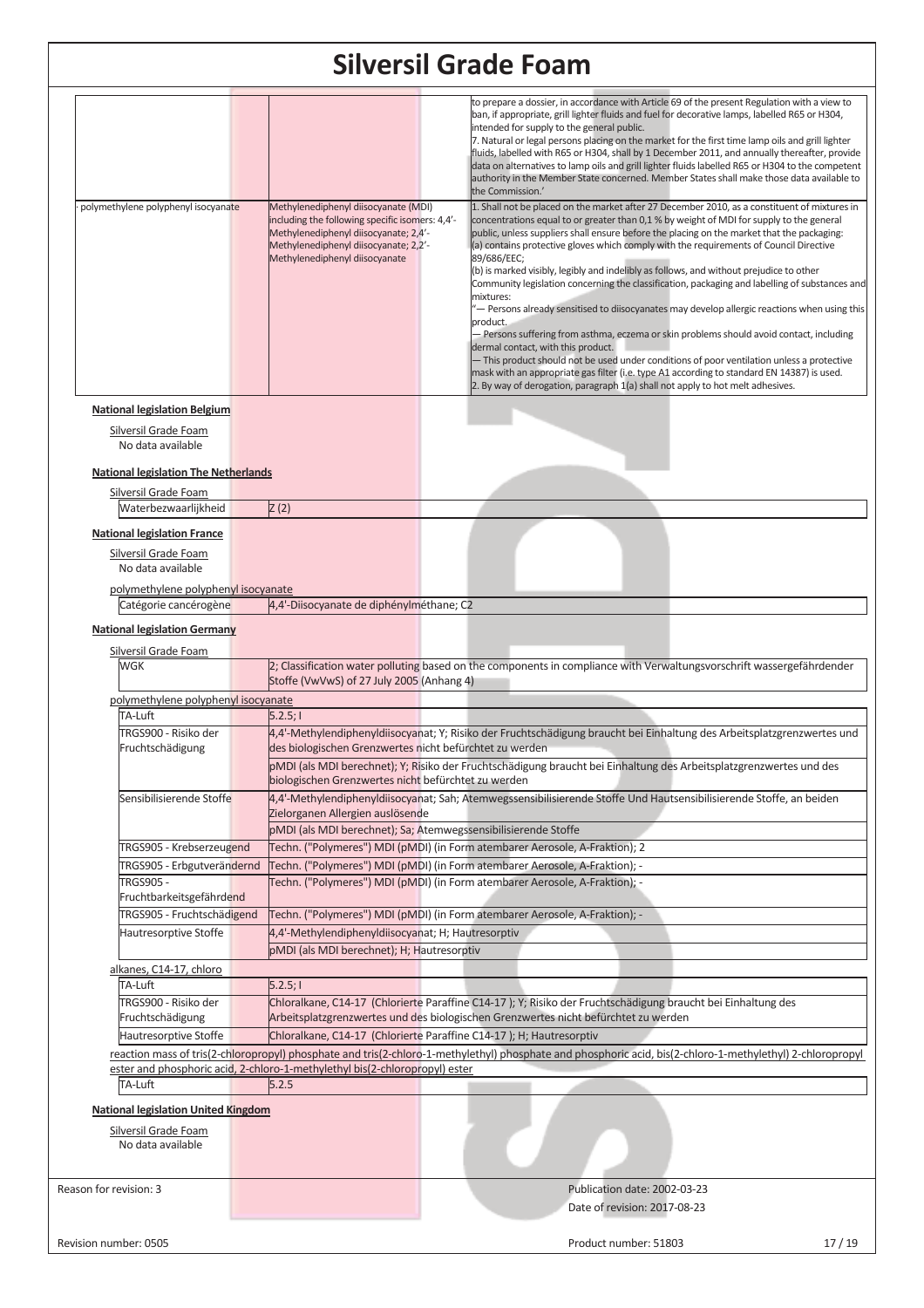| polymethylene polyphenyl isocyanate                                             | Methylenediphenyl diisocyanate (MDI)                                                                                                                                       |  | to prepare a dossier, in accordance with Article 69 of the present Regulation with a view to<br>ban, if appropriate, grill lighter fluids and fuel for decorative lamps, labelled R65 or H304,<br>intended for supply to the general public.<br>7. Natural or legal persons placing on the market for the first time lamp oils and grill lighter<br>fluids, labelled with R65 or H304, shall by 1 December 2011, and annually thereafter, provide<br>data on alternatives to lamp oils and grill lighter fluids labelled R65 or H304 to the competent<br>authority in the Member State concerned. Member States shall make those data available to<br>the Commission.'<br>1. Shall not be placed on the market after 27 December 2010, as a constituent of mixtures in                                                                                                                                                                                                                                                                |  |  |
|---------------------------------------------------------------------------------|----------------------------------------------------------------------------------------------------------------------------------------------------------------------------|--|---------------------------------------------------------------------------------------------------------------------------------------------------------------------------------------------------------------------------------------------------------------------------------------------------------------------------------------------------------------------------------------------------------------------------------------------------------------------------------------------------------------------------------------------------------------------------------------------------------------------------------------------------------------------------------------------------------------------------------------------------------------------------------------------------------------------------------------------------------------------------------------------------------------------------------------------------------------------------------------------------------------------------------------|--|--|
|                                                                                 | including the following specific isomers: 4,4'-<br>Methylenediphenyl diisocyanate; 2,4'-<br>Methylenediphenyl diisocyanate; 2,2'-<br>Methylenediphenyl diisocyanate        |  | concentrations equal to or greater than 0,1 % by weight of MDI for supply to the general<br>public, unless suppliers shall ensure before the placing on the market that the packaging:<br>(a) contains protective gloves which comply with the requirements of Council Directive<br>89/686/EEC;<br>(b) is marked visibly, legibly and indelibly as follows, and without prejudice to other<br>Community legislation concerning the classification, packaging and labelling of substances and<br>mixtures:<br>- Persons already sensitised to diisocyanates may develop allergic reactions when using this<br>product.<br>- Persons suffering from asthma, eczema or skin problems should avoid contact, including<br>dermal contact, with this product.<br>- This product should not be used under conditions of poor ventilation unless a protective<br>mask with an appropriate gas filter (i.e. type A1 according to standard EN 14387) is used.<br>2. By way of derogation, paragraph 1(a) shall not apply to hot melt adhesives. |  |  |
| <b>National legislation Belgium</b>                                             |                                                                                                                                                                            |  |                                                                                                                                                                                                                                                                                                                                                                                                                                                                                                                                                                                                                                                                                                                                                                                                                                                                                                                                                                                                                                       |  |  |
| <b>Silversil Grade Foam</b><br>No data available                                |                                                                                                                                                                            |  |                                                                                                                                                                                                                                                                                                                                                                                                                                                                                                                                                                                                                                                                                                                                                                                                                                                                                                                                                                                                                                       |  |  |
| <b>National legislation The Netherlands</b>                                     |                                                                                                                                                                            |  |                                                                                                                                                                                                                                                                                                                                                                                                                                                                                                                                                                                                                                                                                                                                                                                                                                                                                                                                                                                                                                       |  |  |
| Silversil Grade Foam                                                            |                                                                                                                                                                            |  |                                                                                                                                                                                                                                                                                                                                                                                                                                                                                                                                                                                                                                                                                                                                                                                                                                                                                                                                                                                                                                       |  |  |
| Waterbezwaarlijkheid                                                            | Z(2)                                                                                                                                                                       |  |                                                                                                                                                                                                                                                                                                                                                                                                                                                                                                                                                                                                                                                                                                                                                                                                                                                                                                                                                                                                                                       |  |  |
| <b>National legislation France</b><br>Silversil Grade Foam<br>No data available |                                                                                                                                                                            |  |                                                                                                                                                                                                                                                                                                                                                                                                                                                                                                                                                                                                                                                                                                                                                                                                                                                                                                                                                                                                                                       |  |  |
| polymethylene polyphenyl isocyanate                                             |                                                                                                                                                                            |  |                                                                                                                                                                                                                                                                                                                                                                                                                                                                                                                                                                                                                                                                                                                                                                                                                                                                                                                                                                                                                                       |  |  |
| Catégorie cancérogène                                                           | 4,4'-Diisocyanate de diphénylméthane; C2                                                                                                                                   |  |                                                                                                                                                                                                                                                                                                                                                                                                                                                                                                                                                                                                                                                                                                                                                                                                                                                                                                                                                                                                                                       |  |  |
| <b>National legislation Germany</b>                                             |                                                                                                                                                                            |  |                                                                                                                                                                                                                                                                                                                                                                                                                                                                                                                                                                                                                                                                                                                                                                                                                                                                                                                                                                                                                                       |  |  |
|                                                                                 |                                                                                                                                                                            |  |                                                                                                                                                                                                                                                                                                                                                                                                                                                                                                                                                                                                                                                                                                                                                                                                                                                                                                                                                                                                                                       |  |  |
| Silversil Grade Foam<br><b>WGK</b>                                              |                                                                                                                                                                            |  | 2; Classification water polluting based on the components in compliance with Verwaltungsvorschrift wassergefährdender                                                                                                                                                                                                                                                                                                                                                                                                                                                                                                                                                                                                                                                                                                                                                                                                                                                                                                                 |  |  |
|                                                                                 | Stoffe (VwVwS) of 27 July 2005 (Anhang 4)                                                                                                                                  |  |                                                                                                                                                                                                                                                                                                                                                                                                                                                                                                                                                                                                                                                                                                                                                                                                                                                                                                                                                                                                                                       |  |  |
| polymethylene polyphenyl isocyanate                                             |                                                                                                                                                                            |  |                                                                                                                                                                                                                                                                                                                                                                                                                                                                                                                                                                                                                                                                                                                                                                                                                                                                                                                                                                                                                                       |  |  |
| TA-Luft                                                                         | 5.2.5;1                                                                                                                                                                    |  |                                                                                                                                                                                                                                                                                                                                                                                                                                                                                                                                                                                                                                                                                                                                                                                                                                                                                                                                                                                                                                       |  |  |
| TRGS900 - Risiko der                                                            |                                                                                                                                                                            |  | 4,4'-Methylendiphenyldiisocyanat; Y; Risiko der Fruchtschädigung braucht bei Einhaltung des Arbeitsplatzgrenzwertes und                                                                                                                                                                                                                                                                                                                                                                                                                                                                                                                                                                                                                                                                                                                                                                                                                                                                                                               |  |  |
| Fruchtschädigung                                                                | des biologischen Grenzwertes nicht befürchtet zu werden                                                                                                                    |  |                                                                                                                                                                                                                                                                                                                                                                                                                                                                                                                                                                                                                                                                                                                                                                                                                                                                                                                                                                                                                                       |  |  |
|                                                                                 | pMDI (als MDI berechnet); Y; Risiko der Fruchtschädigung braucht bei Einhaltung des Arbeitsplatzgrenzwertes und des<br>biologischen Grenzwertes nicht befürchtet zu werden |  |                                                                                                                                                                                                                                                                                                                                                                                                                                                                                                                                                                                                                                                                                                                                                                                                                                                                                                                                                                                                                                       |  |  |
| Sensibilisierende Stoffe                                                        | Zielorganen Allergien auslösende<br>pMDI (als MDI berechnet); Sa; Atemwegssensibilisierende Stoffe                                                                         |  | 4.4'-Methylendiphenyldiisocyanat; Sah; Atemwegssensibilisierende Stoffe Und Hautsensibilisierende Stoffe, an beiden                                                                                                                                                                                                                                                                                                                                                                                                                                                                                                                                                                                                                                                                                                                                                                                                                                                                                                                   |  |  |
| TRGS905 - Krebserzeugend                                                        |                                                                                                                                                                            |  | Techn. ("Polymeres") MDI (pMDI) (in Form atembarer Aerosole, A-Fraktion); 2                                                                                                                                                                                                                                                                                                                                                                                                                                                                                                                                                                                                                                                                                                                                                                                                                                                                                                                                                           |  |  |
| TRGS905 - Erbgutverändernd                                                      |                                                                                                                                                                            |  | Techn. ("Polymeres") MDI (pMDI) (in Form atembarer Aerosole, A-Fraktion); -                                                                                                                                                                                                                                                                                                                                                                                                                                                                                                                                                                                                                                                                                                                                                                                                                                                                                                                                                           |  |  |
| <b>TRGS905 -</b>                                                                |                                                                                                                                                                            |  | Techn. ("Polymeres") MDI (pMDI) (in Form atembarer Aerosole, A-Fraktion); -                                                                                                                                                                                                                                                                                                                                                                                                                                                                                                                                                                                                                                                                                                                                                                                                                                                                                                                                                           |  |  |
| Fruchtbarkeitsgefährdend                                                        |                                                                                                                                                                            |  |                                                                                                                                                                                                                                                                                                                                                                                                                                                                                                                                                                                                                                                                                                                                                                                                                                                                                                                                                                                                                                       |  |  |
| TRGS905 - Fruchtschädigend                                                      |                                                                                                                                                                            |  | Techn. ("Polymeres") MDI (pMDI) (in Form atembarer Aerosole, A-Fraktion); -                                                                                                                                                                                                                                                                                                                                                                                                                                                                                                                                                                                                                                                                                                                                                                                                                                                                                                                                                           |  |  |
| Hautresorptive Stoffe                                                           | 4,4'-Methylendiphenyldiisocyanat; H; Hautresorptiv                                                                                                                         |  |                                                                                                                                                                                                                                                                                                                                                                                                                                                                                                                                                                                                                                                                                                                                                                                                                                                                                                                                                                                                                                       |  |  |
|                                                                                 | pMDI (als MDI berechnet); H; Hautresorptiv                                                                                                                                 |  |                                                                                                                                                                                                                                                                                                                                                                                                                                                                                                                                                                                                                                                                                                                                                                                                                                                                                                                                                                                                                                       |  |  |
| alkanes, C14-17, chloro                                                         |                                                                                                                                                                            |  |                                                                                                                                                                                                                                                                                                                                                                                                                                                                                                                                                                                                                                                                                                                                                                                                                                                                                                                                                                                                                                       |  |  |
| TA-Luft                                                                         | 5.2.5;1                                                                                                                                                                    |  |                                                                                                                                                                                                                                                                                                                                                                                                                                                                                                                                                                                                                                                                                                                                                                                                                                                                                                                                                                                                                                       |  |  |
| TRGS900 - Risiko der                                                            |                                                                                                                                                                            |  | Chloralkane, C14-17 (Chlorierte Paraffine C14-17); Y; Risiko der Fruchtschädigung braucht bei Einhaltung des                                                                                                                                                                                                                                                                                                                                                                                                                                                                                                                                                                                                                                                                                                                                                                                                                                                                                                                          |  |  |
| Fruchtschädigung                                                                |                                                                                                                                                                            |  | Arbeitsplatzgrenzwertes und des biologischen Grenzwertes nicht befürchtet zu werden                                                                                                                                                                                                                                                                                                                                                                                                                                                                                                                                                                                                                                                                                                                                                                                                                                                                                                                                                   |  |  |
| Hautresorptive Stoffe                                                           | Chloralkane, C14-17 (Chlorierte Paraffine C14-17); H; Hautresorptiv                                                                                                        |  |                                                                                                                                                                                                                                                                                                                                                                                                                                                                                                                                                                                                                                                                                                                                                                                                                                                                                                                                                                                                                                       |  |  |
|                                                                                 | ester and phosphoric acid, 2-chloro-1-methylethyl bis(2-chloropropyl) ester                                                                                                |  | reaction mass of tris(2-chloropropyl) phosphate and tris(2-chloro-1-methylethyl) phosphate and phosphoric acid, bis(2-chloro-1-methylethyl) 2-chloropropyl                                                                                                                                                                                                                                                                                                                                                                                                                                                                                                                                                                                                                                                                                                                                                                                                                                                                            |  |  |
| TA-Luft                                                                         | 5.2.5                                                                                                                                                                      |  |                                                                                                                                                                                                                                                                                                                                                                                                                                                                                                                                                                                                                                                                                                                                                                                                                                                                                                                                                                                                                                       |  |  |
|                                                                                 |                                                                                                                                                                            |  |                                                                                                                                                                                                                                                                                                                                                                                                                                                                                                                                                                                                                                                                                                                                                                                                                                                                                                                                                                                                                                       |  |  |
| <b>National legislation United Kingdom</b>                                      |                                                                                                                                                                            |  |                                                                                                                                                                                                                                                                                                                                                                                                                                                                                                                                                                                                                                                                                                                                                                                                                                                                                                                                                                                                                                       |  |  |
| Silversil Grade Foam                                                            |                                                                                                                                                                            |  |                                                                                                                                                                                                                                                                                                                                                                                                                                                                                                                                                                                                                                                                                                                                                                                                                                                                                                                                                                                                                                       |  |  |
| No data available                                                               |                                                                                                                                                                            |  |                                                                                                                                                                                                                                                                                                                                                                                                                                                                                                                                                                                                                                                                                                                                                                                                                                                                                                                                                                                                                                       |  |  |
|                                                                                 |                                                                                                                                                                            |  |                                                                                                                                                                                                                                                                                                                                                                                                                                                                                                                                                                                                                                                                                                                                                                                                                                                                                                                                                                                                                                       |  |  |
| Reason for revision: 3                                                          |                                                                                                                                                                            |  | Publication date: 2002-03-23                                                                                                                                                                                                                                                                                                                                                                                                                                                                                                                                                                                                                                                                                                                                                                                                                                                                                                                                                                                                          |  |  |
|                                                                                 |                                                                                                                                                                            |  | Date of revision: 2017-08-23                                                                                                                                                                                                                                                                                                                                                                                                                                                                                                                                                                                                                                                                                                                                                                                                                                                                                                                                                                                                          |  |  |
|                                                                                 |                                                                                                                                                                            |  |                                                                                                                                                                                                                                                                                                                                                                                                                                                                                                                                                                                                                                                                                                                                                                                                                                                                                                                                                                                                                                       |  |  |
| Revision number: 0505                                                           |                                                                                                                                                                            |  | Product number: 51803<br>17/19                                                                                                                                                                                                                                                                                                                                                                                                                                                                                                                                                                                                                                                                                                                                                                                                                                                                                                                                                                                                        |  |  |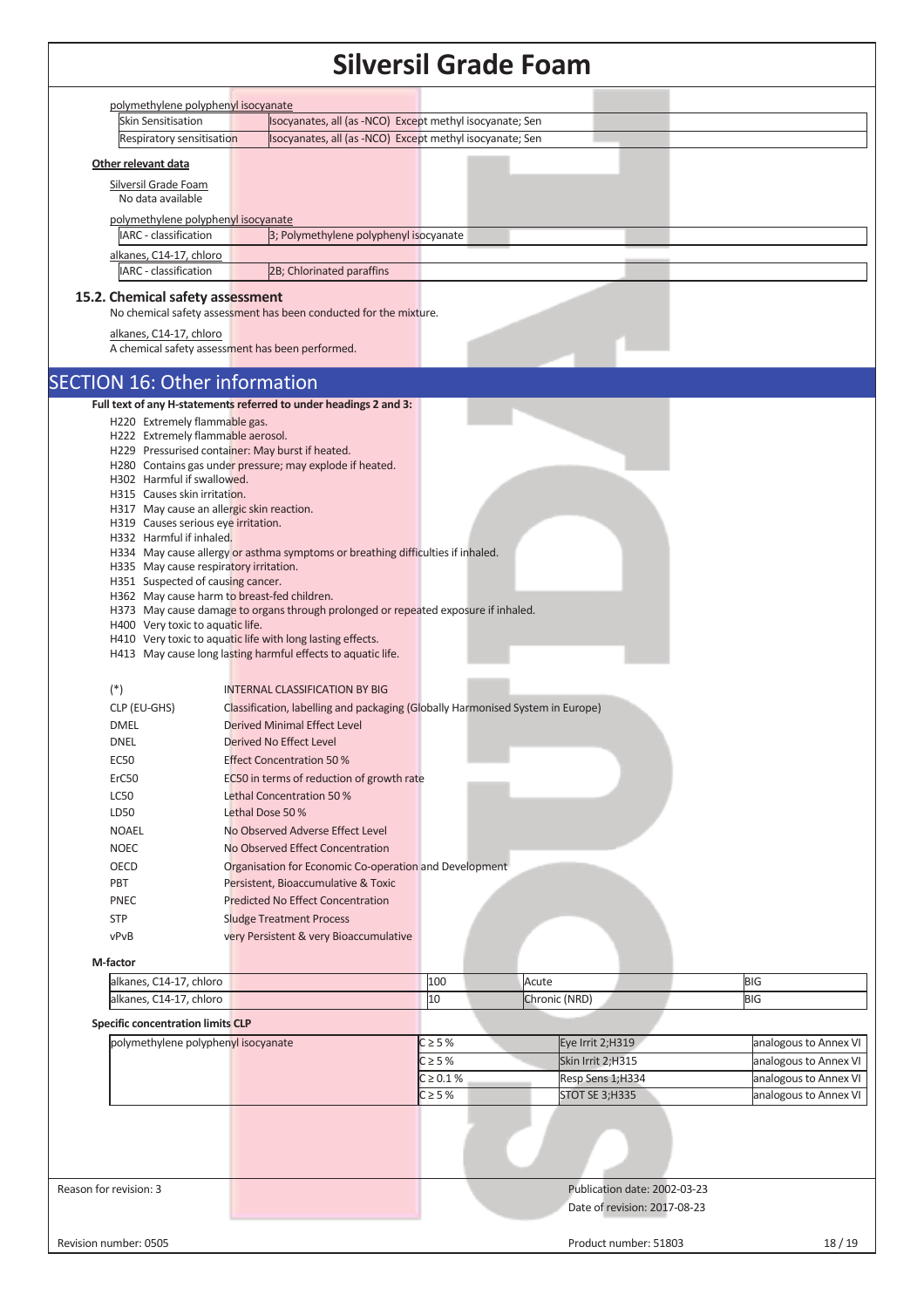|                                                                                       |                 |                                                                                    |                | sliversii Grade Foam |                              |                       |
|---------------------------------------------------------------------------------------|-----------------|------------------------------------------------------------------------------------|----------------|----------------------|------------------------------|-----------------------|
| polymethylene polyphenyl isocyanate                                                   |                 |                                                                                    |                |                      |                              |                       |
| <b>Skin Sensitisation</b>                                                             |                 | Isocyanates, all (as -NCO) Except methyl isocyanate; Sen                           |                |                      |                              |                       |
| Respiratory sensitisation                                                             |                 | Isocyanates, all (as -NCO) Except methyl isocyanate; Sen                           |                |                      |                              |                       |
| Other relevant data                                                                   |                 |                                                                                    |                |                      |                              |                       |
| Silversil Grade Foam                                                                  |                 |                                                                                    |                |                      |                              |                       |
| No data available                                                                     |                 |                                                                                    |                |                      |                              |                       |
| polymethylene polyphenyl isocyanate                                                   |                 |                                                                                    |                |                      |                              |                       |
| IARC - classification                                                                 |                 | 3; Polymethylene polyphenyl isocyanate                                             |                |                      |                              |                       |
| alkanes, C14-17, chloro<br>IARC - classification                                      |                 | 2B; Chlorinated paraffins                                                          |                |                      |                              |                       |
|                                                                                       |                 |                                                                                    |                |                      |                              |                       |
| 15.2. Chemical safety assessment                                                      |                 | No chemical safety assessment has been conducted for the mixture.                  |                |                      |                              |                       |
|                                                                                       |                 |                                                                                    |                |                      |                              |                       |
| alkanes, C14-17, chloro<br>A chemical safety assessment has been performed.           |                 |                                                                                    |                |                      |                              |                       |
|                                                                                       |                 |                                                                                    |                |                      |                              |                       |
| <b>SECTION 16: Other information</b>                                                  |                 |                                                                                    |                |                      |                              |                       |
|                                                                                       |                 | Full text of any H-statements referred to under headings 2 and 3:                  |                |                      |                              |                       |
| H220 Extremely flammable gas.                                                         |                 |                                                                                    |                |                      |                              |                       |
| H222 Extremely flammable aerosol.<br>H229 Pressurised container: May burst if heated. |                 |                                                                                    |                |                      |                              |                       |
|                                                                                       |                 | H280 Contains gas under pressure; may explode if heated.                           |                |                      |                              |                       |
| H302 Harmful if swallowed.                                                            |                 |                                                                                    |                |                      |                              |                       |
| H315 Causes skin irritation.                                                          |                 |                                                                                    |                |                      |                              |                       |
| H317 May cause an allergic skin reaction.<br>H319 Causes serious eye irritation.      |                 |                                                                                    |                |                      |                              |                       |
| H332 Harmful if inhaled.                                                              |                 |                                                                                    |                |                      |                              |                       |
|                                                                                       |                 | H334 May cause allergy or asthma symptoms or breathing difficulties if inhaled.    |                |                      |                              |                       |
| H335 May cause respiratory irritation.                                                |                 |                                                                                    |                |                      |                              |                       |
| H351 Suspected of causing cancer.                                                     |                 |                                                                                    |                |                      |                              |                       |
| H362 May cause harm to breast-fed children.                                           |                 | H373 May cause damage to organs through prolonged or repeated exposure if inhaled. |                |                      |                              |                       |
| H400 Very toxic to aquatic life.                                                      |                 |                                                                                    |                |                      |                              |                       |
|                                                                                       |                 | H410 Very toxic to aquatic life with long lasting effects.                         |                |                      |                              |                       |
|                                                                                       |                 | H413 May cause long lasting harmful effects to aquatic life.                       |                |                      |                              |                       |
|                                                                                       |                 |                                                                                    |                |                      |                              |                       |
| $(*)$                                                                                 |                 | <b>INTERNAL CLASSIFICATION BY BIG</b>                                              |                |                      |                              |                       |
| CLP (EU-GHS)                                                                          |                 | Classification, labelling and packaging (Globally Harmonised System in Europe)     |                |                      |                              |                       |
| <b>DMEL</b>                                                                           |                 | Derived Minimal Effect Level                                                       |                |                      |                              |                       |
| <b>DNEL</b>                                                                           |                 | Derived No Effect Level                                                            |                |                      |                              |                       |
| <b>EC50</b>                                                                           |                 | <b>Effect Concentration 50 %</b>                                                   |                |                      |                              |                       |
| ErC50                                                                                 |                 | EC50 in terms of reduction of growth rate                                          |                |                      |                              |                       |
| <b>LC50</b>                                                                           |                 | Lethal Concentration 50 %                                                          |                |                      |                              |                       |
| LD50                                                                                  | Lethal Dose 50% |                                                                                    |                |                      |                              |                       |
| <b>NOAEL</b>                                                                          |                 | No Observed Adverse Effect Level                                                   |                |                      |                              |                       |
| <b>NOEC</b>                                                                           |                 | No Observed Effect Concentration                                                   |                |                      |                              |                       |
| OECD                                                                                  |                 | Organisation for Economic Co-operation and Development                             |                |                      |                              |                       |
| PBT                                                                                   |                 | Persistent, Bioaccumulative & Toxic                                                |                |                      |                              |                       |
| PNEC                                                                                  |                 | <b>Predicted No Effect Concentration</b>                                           |                |                      |                              |                       |
| <b>STP</b>                                                                            |                 | <b>Sludge Treatment Process</b>                                                    |                |                      |                              |                       |
| vPvB                                                                                  |                 | very Persistent & very Bioaccumulative                                             |                |                      |                              |                       |
| M-factor                                                                              |                 |                                                                                    |                |                      |                              |                       |
| alkanes, C14-17, chloro                                                               |                 |                                                                                    | 100            | Acute                |                              | <b>BIG</b>            |
| alkanes, C14-17, chloro                                                               |                 |                                                                                    | 10             | Chronic (NRD)        |                              | <b>BIG</b>            |
| <b>Specific concentration limits CLP</b>                                              |                 |                                                                                    |                |                      |                              |                       |
| polymethylene polyphenyl isocyanate                                                   |                 |                                                                                    | $C \geq 5%$    | Eye Irrit 2;H319     |                              | analogous to Annex VI |
|                                                                                       |                 |                                                                                    | $C \geq 5%$    | Skin Irrit 2;H315    |                              | analogous to Annex VI |
|                                                                                       |                 |                                                                                    | $C \ge 0.1 \%$ | Resp Sens 1;H334     |                              | analogous to Annex VI |
|                                                                                       |                 |                                                                                    | $C \geq 5%$    | STOT SE 3;H335       |                              | analogous to Annex VI |
|                                                                                       |                 |                                                                                    |                |                      |                              |                       |
|                                                                                       |                 |                                                                                    |                |                      |                              |                       |
|                                                                                       |                 |                                                                                    |                |                      |                              |                       |
|                                                                                       |                 |                                                                                    |                |                      |                              |                       |
| Reason for revision: 3                                                                |                 |                                                                                    |                |                      | Publication date: 2002-03-23 |                       |
|                                                                                       |                 |                                                                                    |                |                      | Date of revision: 2017-08-23 |                       |
|                                                                                       |                 |                                                                                    |                |                      |                              |                       |
| Revision number: 0505                                                                 |                 |                                                                                    |                |                      | Product number: 51803        | 18/19                 |
|                                                                                       |                 |                                                                                    |                |                      |                              |                       |